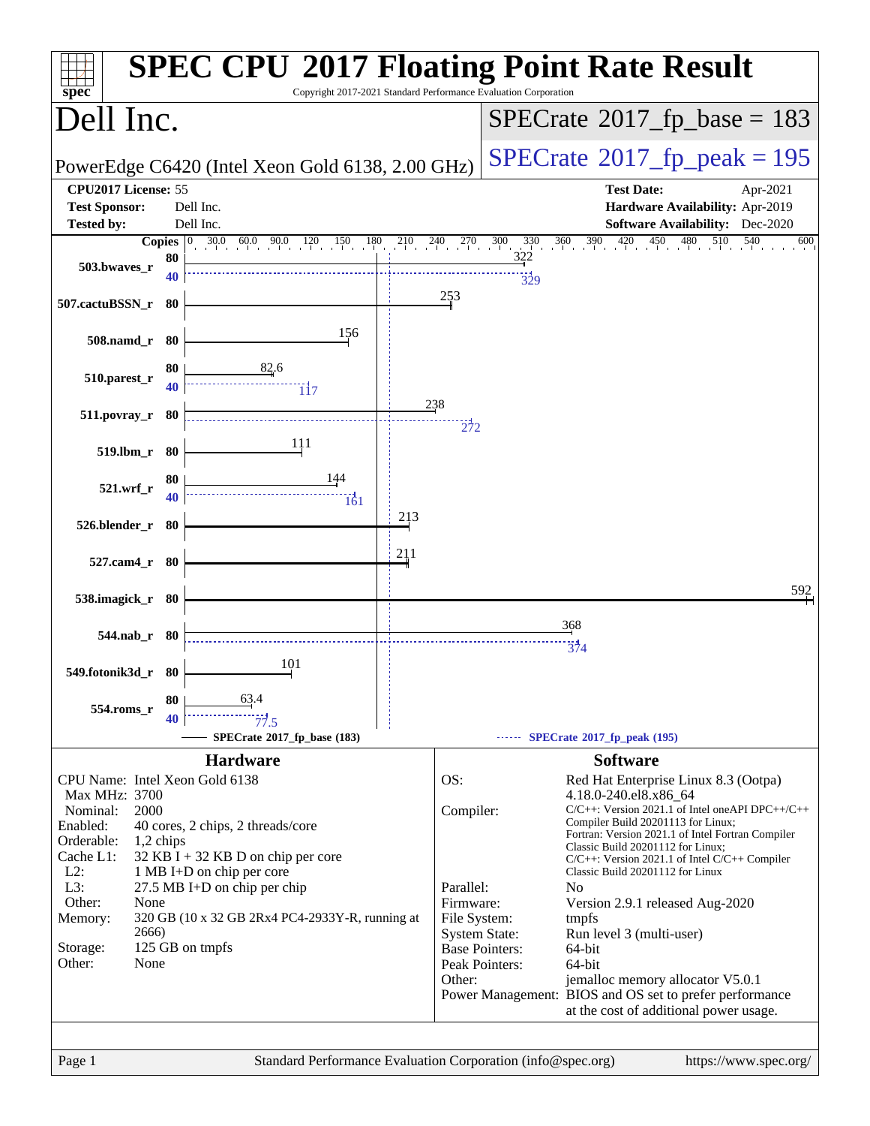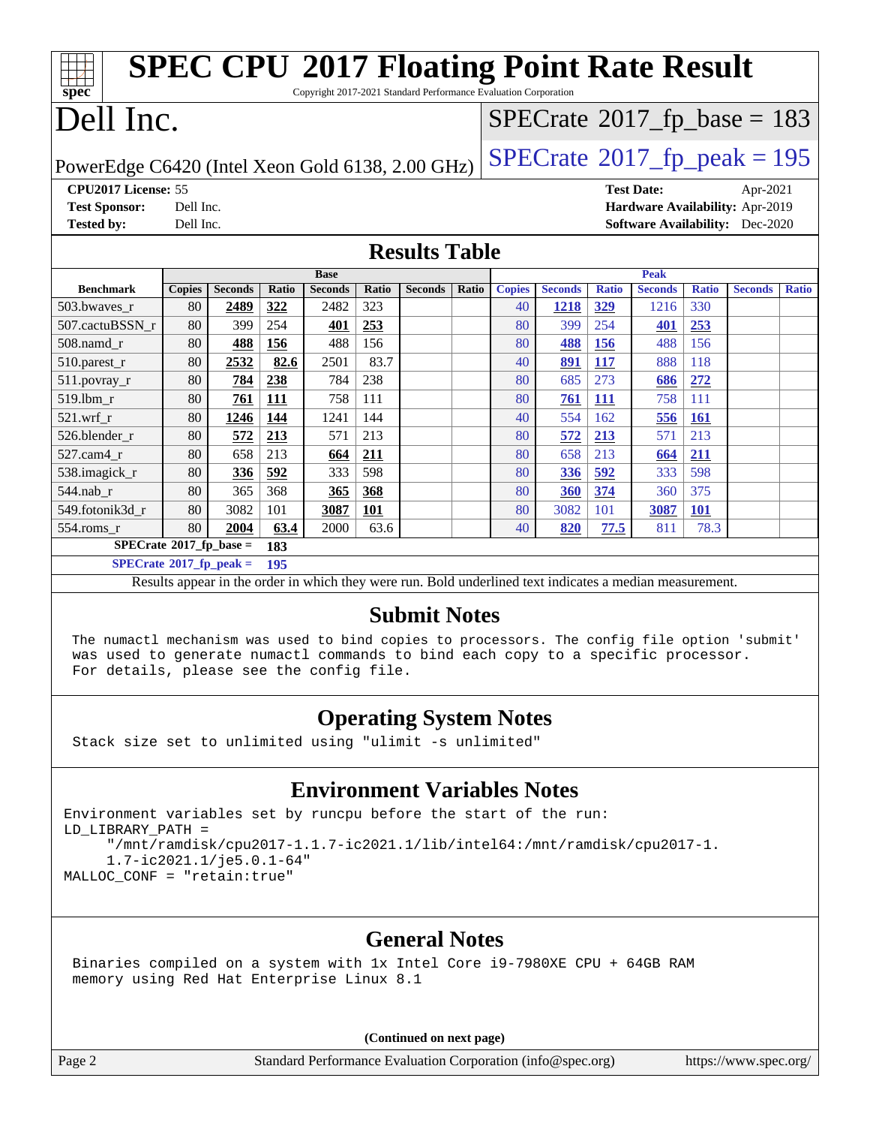| <b>SPEC CPU®2017 Floating Point Rate Result</b>                                    |                                          |                |              |                |              |                |       |               |                |                                       |                |              |                                        |              |
|------------------------------------------------------------------------------------|------------------------------------------|----------------|--------------|----------------|--------------|----------------|-------|---------------|----------------|---------------------------------------|----------------|--------------|----------------------------------------|--------------|
| spec<br>Copyright 2017-2021 Standard Performance Evaluation Corporation            |                                          |                |              |                |              |                |       |               |                |                                       |                |              |                                        |              |
| Dell Inc.                                                                          |                                          |                |              |                |              |                |       |               |                | $SPECrate^{\circ}2017_fp\_base = 183$ |                |              |                                        |              |
| $SPECrate@2017_fp\_peak = 195$<br>PowerEdge C6420 (Intel Xeon Gold 6138, 2.00 GHz) |                                          |                |              |                |              |                |       |               |                |                                       |                |              |                                        |              |
| CPU2017 License: 55<br><b>Test Date:</b><br>Apr-2021                               |                                          |                |              |                |              |                |       |               |                |                                       |                |              |                                        |              |
| <b>Test Sponsor:</b>                                                               | Dell Inc.                                |                |              |                |              |                |       |               |                |                                       |                |              | Hardware Availability: Apr-2019        |              |
| <b>Tested by:</b>                                                                  | Dell Inc.                                |                |              |                |              |                |       |               |                |                                       |                |              | <b>Software Availability:</b> Dec-2020 |              |
| <b>Results Table</b>                                                               |                                          |                |              |                |              |                |       |               |                |                                       |                |              |                                        |              |
|                                                                                    |                                          |                |              | <b>Base</b>    |              |                |       |               |                |                                       | <b>Peak</b>    |              |                                        |              |
| <b>Benchmark</b>                                                                   | <b>Copies</b>                            | <b>Seconds</b> | <b>Ratio</b> | <b>Seconds</b> | <b>Ratio</b> | <b>Seconds</b> | Ratio | <b>Copies</b> | <b>Seconds</b> | <b>Ratio</b>                          | <b>Seconds</b> | <b>Ratio</b> | <b>Seconds</b>                         | <b>Ratio</b> |
| 503.bwayes r                                                                       | 80                                       | 2489           | 322          | 2482           | 323          |                |       | 40            | 1218           | 329                                   | 1216           | 330          |                                        |              |
| 507.cactuBSSN r                                                                    | 80                                       | 399            | 254          | 401            | 253          |                |       | 80            | 399            | 254                                   | 401            | 253          |                                        |              |
| 508.namd r                                                                         | 80                                       | 488            | 156          | 488            | 156          |                |       | 80            | 488            | 156                                   | 488            | 156          |                                        |              |
| 510.parest_r                                                                       | 80                                       | 2532           | 82.6         | 2501           | 83.7         |                |       | 40            | 891            | <b>117</b>                            | 888            | 118          |                                        |              |
| 511.povray_r                                                                       | 80                                       | 784            | 238          | 784            | 238          |                |       | 80            | 685            | 273                                   | 686            | 272          |                                        |              |
| 519.lbm r                                                                          | 80                                       | 761            | 111          | 758            | 111          |                |       | 80            | <u>761</u>     | <b>111</b>                            | 758            | 111          |                                        |              |
| $521$ .wrf r                                                                       | 80                                       | 1246           | 144          | 1241           | 144          |                |       | 40            | 554            | 162                                   | 556            | <b>161</b>   |                                        |              |
| 526.blender r                                                                      | 80                                       | 572            | 213          | 571            | 213          |                |       | 80            | 572            | 213                                   | 571            | 213          |                                        |              |
| 527.cam4 r                                                                         | 80                                       | 658            | 213          | 664            | 211          |                |       | 80            | 658            | 213                                   | 664            | 211          |                                        |              |
| 538.imagick_r                                                                      | 80                                       | 336            | 592          | 333            | 598          |                |       | 80            | 336            | 592                                   | 333            | 598          |                                        |              |
| 544.nab_r                                                                          | 80                                       | 365            | 368          | 365            | 368          |                |       | 80            | 360            | 374                                   | 360            | 375          |                                        |              |
| 549.fotonik3d r                                                                    | 80                                       | 3082           | 101          | 3087           | 101          |                |       | 80            | 3082           | 101                                   | 3087           | <b>101</b>   |                                        |              |
| $554$ .roms r                                                                      | 80                                       | 2004           | 63.4         | 2000           | 63.6         |                |       | 40            | 820            | 77.5                                  | 811            | 78.3         |                                        |              |
| $SPECrate^*2017_fp\_base =$<br>183                                                 |                                          |                |              |                |              |                |       |               |                |                                       |                |              |                                        |              |
|                                                                                    | $SPECrate^{\circ}2017$ _fp_peak =<br>195 |                |              |                |              |                |       |               |                |                                       |                |              |                                        |              |

Results appear in the [order in which they were run.](http://www.spec.org/auto/cpu2017/Docs/result-fields.html#RunOrder) Bold underlined text [indicates a median measurement.](http://www.spec.org/auto/cpu2017/Docs/result-fields.html#Median)

#### **[Submit Notes](http://www.spec.org/auto/cpu2017/Docs/result-fields.html#SubmitNotes)**

 The numactl mechanism was used to bind copies to processors. The config file option 'submit' was used to generate numactl commands to bind each copy to a specific processor. For details, please see the config file.

### **[Operating System Notes](http://www.spec.org/auto/cpu2017/Docs/result-fields.html#OperatingSystemNotes)**

Stack size set to unlimited using "ulimit -s unlimited"

#### **[Environment Variables Notes](http://www.spec.org/auto/cpu2017/Docs/result-fields.html#EnvironmentVariablesNotes)**

Environment variables set by runcpu before the start of the run: LD\_LIBRARY\_PATH = "/mnt/ramdisk/cpu2017-1.1.7-ic2021.1/lib/intel64:/mnt/ramdisk/cpu2017-1. 1.7-ic2021.1/je5.0.1-64" MALLOC\_CONF = "retain:true"

#### **[General Notes](http://www.spec.org/auto/cpu2017/Docs/result-fields.html#GeneralNotes)**

 Binaries compiled on a system with 1x Intel Core i9-7980XE CPU + 64GB RAM memory using Red Hat Enterprise Linux 8.1

**(Continued on next page)**

Page 2 Standard Performance Evaluation Corporation [\(info@spec.org\)](mailto:info@spec.org) <https://www.spec.org/>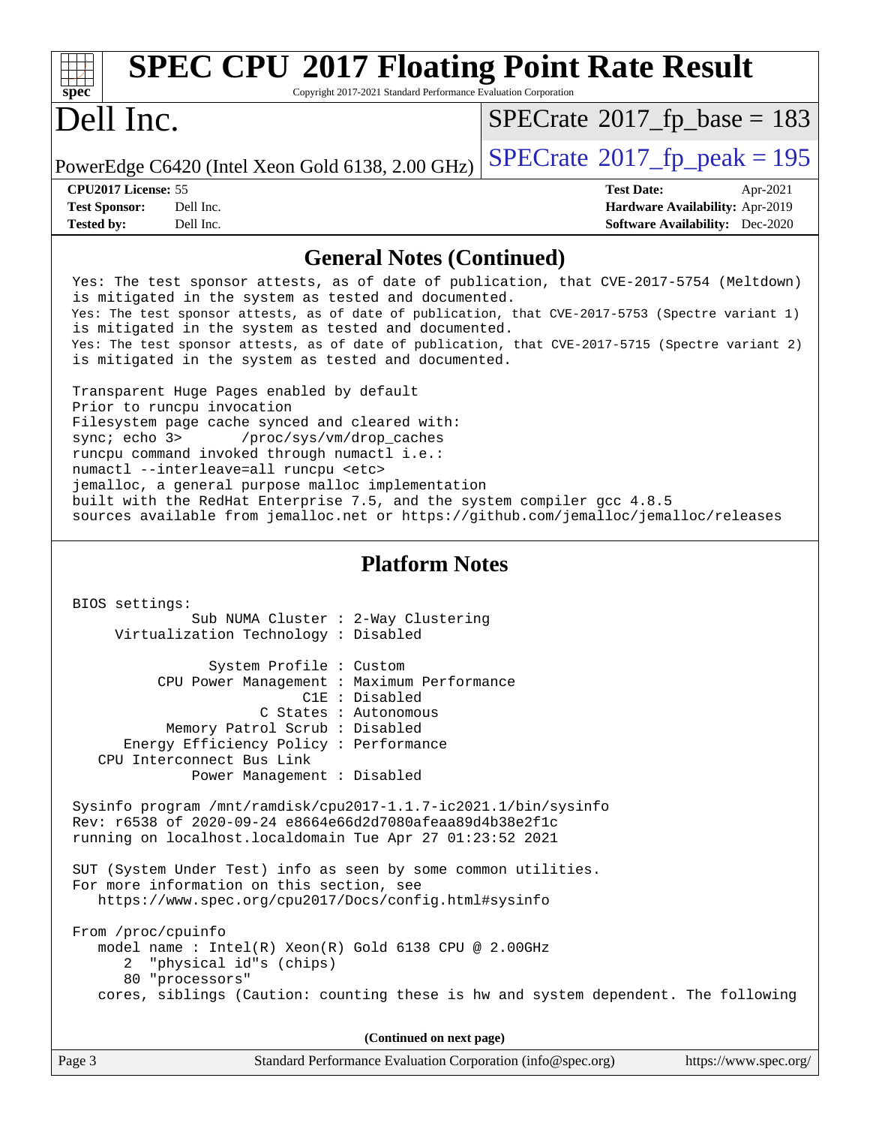| <b>SPEC CPU®2017 Floating Point Rate Result</b>                                                                                                                                                                                                                                                                                                                                                                                                                                                  |                                                                           |
|--------------------------------------------------------------------------------------------------------------------------------------------------------------------------------------------------------------------------------------------------------------------------------------------------------------------------------------------------------------------------------------------------------------------------------------------------------------------------------------------------|---------------------------------------------------------------------------|
| spec <sup>®</sup><br>Copyright 2017-2021 Standard Performance Evaluation Corporation<br>Dell Inc.                                                                                                                                                                                                                                                                                                                                                                                                | $SPECrate^{\circ}2017$ fp base = 183                                      |
| PowerEdge C6420 (Intel Xeon Gold 6138, 2.00 GHz)                                                                                                                                                                                                                                                                                                                                                                                                                                                 | $SPECrate^{\circledcirc}2017_fp\_peak = 195$                              |
| CPU2017 License: 55                                                                                                                                                                                                                                                                                                                                                                                                                                                                              | <b>Test Date:</b><br>Apr-2021                                             |
| <b>Test Sponsor:</b><br>Dell Inc.<br><b>Tested by:</b><br>Dell Inc.                                                                                                                                                                                                                                                                                                                                                                                                                              | Hardware Availability: Apr-2019<br><b>Software Availability:</b> Dec-2020 |
| <b>General Notes (Continued)</b>                                                                                                                                                                                                                                                                                                                                                                                                                                                                 |                                                                           |
| Yes: The test sponsor attests, as of date of publication, that CVE-2017-5754 (Meltdown)<br>is mitigated in the system as tested and documented.<br>Yes: The test sponsor attests, as of date of publication, that CVE-2017-5753 (Spectre variant 1)<br>is mitigated in the system as tested and documented.                                                                                                                                                                                      |                                                                           |
| Yes: The test sponsor attests, as of date of publication, that CVE-2017-5715 (Spectre variant 2)<br>is mitigated in the system as tested and documented.                                                                                                                                                                                                                                                                                                                                         |                                                                           |
| Transparent Huge Pages enabled by default<br>Prior to runcpu invocation<br>Filesystem page cache synced and cleared with:<br>/proc/sys/vm/drop_caches<br>sync; echo 3><br>runcpu command invoked through numactl i.e.:<br>numactl --interleave=all runcpu <etc><br/>jemalloc, a general purpose malloc implementation<br/>built with the RedHat Enterprise 7.5, and the system compiler gcc 4.8.5<br/>sources available from jemalloc.net or https://github.com/jemalloc/jemalloc/releases</etc> |                                                                           |
| <b>Platform Notes</b>                                                                                                                                                                                                                                                                                                                                                                                                                                                                            |                                                                           |
| BIOS settings:<br>Sub NUMA Cluster : 2-Way Clustering<br>Virtualization Technology : Disabled                                                                                                                                                                                                                                                                                                                                                                                                    |                                                                           |
| System Profile : Custom<br>CPU Power Management : Maximum Pertormance                                                                                                                                                                                                                                                                                                                                                                                                                            |                                                                           |
| C1E : Disabled                                                                                                                                                                                                                                                                                                                                                                                                                                                                                   |                                                                           |
| C States : Autonomous                                                                                                                                                                                                                                                                                                                                                                                                                                                                            |                                                                           |
| Memory Patrol Scrub: Disabled<br>Energy Efficiency Policy : Performance                                                                                                                                                                                                                                                                                                                                                                                                                          |                                                                           |
| CPU Interconnect Bus Link                                                                                                                                                                                                                                                                                                                                                                                                                                                                        |                                                                           |
| Power Management : Disabled                                                                                                                                                                                                                                                                                                                                                                                                                                                                      |                                                                           |
| Sysinfo program /mnt/ramdisk/cpu2017-1.1.7-ic2021.1/bin/sysinfo<br>Rev: r6538 of 2020-09-24 e8664e66d2d7080afeaa89d4b38e2f1c<br>running on localhost.localdomain Tue Apr 27 01:23:52 2021                                                                                                                                                                                                                                                                                                        |                                                                           |
| SUT (System Under Test) info as seen by some common utilities.<br>For more information on this section, see<br>https://www.spec.org/cpu2017/Docs/config.html#sysinfo                                                                                                                                                                                                                                                                                                                             |                                                                           |
| From /proc/cpuinfo<br>model name : Intel(R) Xeon(R) Gold 6138 CPU @ 2.00GHz<br>2 "physical id"s (chips)<br>80 "processors"                                                                                                                                                                                                                                                                                                                                                                       |                                                                           |
| cores, siblings (Caution: counting these is hw and system dependent. The following                                                                                                                                                                                                                                                                                                                                                                                                               |                                                                           |
| (Continued on next page)                                                                                                                                                                                                                                                                                                                                                                                                                                                                         |                                                                           |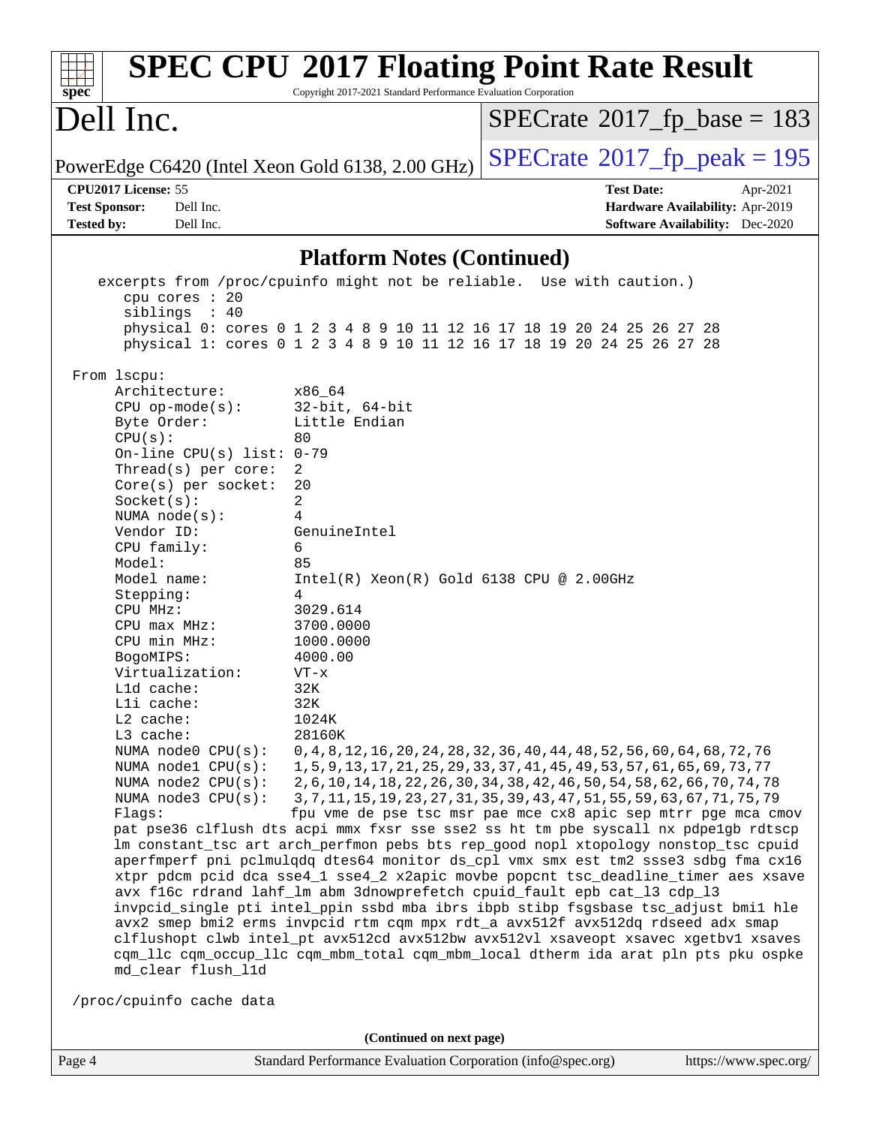| $spec^*$                                                                                                                                                                                                                                                                                                                                                                                                                                                                                                                                                                                                                                                                          | Copyright 2017-2021 Standard Performance Evaluation Corporation                                                                                                                   | <b>SPEC CPU®2017 Floating Point Rate Result</b>                                                                                                                                                                                                                                                                                                                                                                                                                                              |                                                                                |  |  |  |  |
|-----------------------------------------------------------------------------------------------------------------------------------------------------------------------------------------------------------------------------------------------------------------------------------------------------------------------------------------------------------------------------------------------------------------------------------------------------------------------------------------------------------------------------------------------------------------------------------------------------------------------------------------------------------------------------------|-----------------------------------------------------------------------------------------------------------------------------------------------------------------------------------|----------------------------------------------------------------------------------------------------------------------------------------------------------------------------------------------------------------------------------------------------------------------------------------------------------------------------------------------------------------------------------------------------------------------------------------------------------------------------------------------|--------------------------------------------------------------------------------|--|--|--|--|
| Dell Inc.                                                                                                                                                                                                                                                                                                                                                                                                                                                                                                                                                                                                                                                                         |                                                                                                                                                                                   | $SPECrate^{\circ}2017$ _fp_base = 183                                                                                                                                                                                                                                                                                                                                                                                                                                                        |                                                                                |  |  |  |  |
| PowerEdge C6420 (Intel Xeon Gold 6138, 2.00 GHz)                                                                                                                                                                                                                                                                                                                                                                                                                                                                                                                                                                                                                                  |                                                                                                                                                                                   | $SPECTate@2017fr peak = 195$                                                                                                                                                                                                                                                                                                                                                                                                                                                                 |                                                                                |  |  |  |  |
| CPU2017 License: 55<br><b>Test Sponsor:</b><br>Dell Inc.<br>Dell Inc.<br><b>Tested by:</b>                                                                                                                                                                                                                                                                                                                                                                                                                                                                                                                                                                                        |                                                                                                                                                                                   | <b>Test Date:</b>                                                                                                                                                                                                                                                                                                                                                                                                                                                                            | Apr-2021<br>Hardware Availability: Apr-2019<br>Software Availability: Dec-2020 |  |  |  |  |
| <b>Platform Notes (Continued)</b>                                                                                                                                                                                                                                                                                                                                                                                                                                                                                                                                                                                                                                                 |                                                                                                                                                                                   |                                                                                                                                                                                                                                                                                                                                                                                                                                                                                              |                                                                                |  |  |  |  |
| excerpts from /proc/cpuinfo might not be reliable. Use with caution.)<br>cpu cores $: 20$<br>siblings : 40<br>From 1scpu:<br>Architecture:<br>$CPU$ op-mode(s):<br>Byte Order:<br>CPU(s):<br>80<br>On-line CPU(s) list: $0-79$<br>Thread(s) per core:<br>2<br>Core(s) per socket:<br>20<br>2<br>Socket(s):<br>NUMA $node(s):$<br>4<br>Vendor ID:<br>CPU family:<br>6<br>Model:<br>85<br>Model name:<br>Stepping:<br>4<br>CPU MHz:<br>$CPU$ max $MHz:$<br>CPU min MHz:<br>BogoMIPS:<br>Virtualization:<br>$VT - x$<br>32K<br>Lld cache:<br>Lli cache:<br>32K<br>L2 cache:<br>L3 cache:<br>NUMA node0 CPU(s):<br>NUMA nodel CPU(s):<br>NUMA $node2$ $CPU(s):$<br>NUMA node3 CPU(s): | x86_64<br>$32$ -bit, $64$ -bit<br>Little Endian<br>GenuineIntel<br>$Intel(R) Xeon(R) Gold 6138 CPU @ 2.00GHz$<br>3029.614<br>3700.0000<br>1000.0000<br>4000.00<br>1024K<br>28160K | physical 0: cores 0 1 2 3 4 8 9 10 11 12 16 17 18 19 20 24 25 26 27 28<br>physical 1: cores 0 1 2 3 4 8 9 10 11 12 16 17 18 19 20 24 25 26 27 28<br>0, 4, 8, 12, 16, 20, 24, 28, 32, 36, 40, 44, 48, 52, 56, 60, 64, 68, 72, 76<br>1, 5, 9, 13, 17, 21, 25, 29, 33, 37, 41, 45, 49, 53, 57, 61, 65, 69, 73, 77<br>2, 6, 10, 14, 18, 22, 26, 30, 34, 38, 42, 46, 50, 54, 58, 62, 66, 70, 74, 78<br>3, 7, 11, 15, 19, 23, 27, 31, 35, 39, 43, 47, 51, 55, 59, 63, 67, 71, 75, 79               |                                                                                |  |  |  |  |
| Flags:<br>pat pse36 clflush dts acpi mmx fxsr sse sse2 ss ht tm pbe syscall nx pdpelgb rdtscp<br>lm constant_tsc art arch_perfmon pebs bts rep_good nopl xtopology nonstop_tsc cpuid<br>aperfmperf pni pclmulqdq dtes64 monitor ds_cpl vmx smx est tm2 ssse3 sdbg fma cx16<br>cqm_llc cqm_occup_llc cqm_mbm_total cqm_mbm_local dtherm ida arat pln pts pku ospke<br>md_clear flush_l1d                                                                                                                                                                                                                                                                                           |                                                                                                                                                                                   | fpu vme de pse tsc msr pae mce cx8 apic sep mtrr pge mca cmov<br>xtpr pdcm pcid dca sse4_1 sse4_2 x2apic movbe popcnt tsc_deadline_timer aes xsave<br>avx f16c rdrand lahf_lm abm 3dnowprefetch cpuid_fault epb cat_13 cdp_13<br>invpcid_single pti intel_ppin ssbd mba ibrs ibpb stibp fsgsbase tsc_adjust bmil hle<br>avx2 smep bmi2 erms invpcid rtm cqm mpx rdt_a avx512f avx512dq rdseed adx smap<br>clflushopt clwb intel_pt avx512cd avx512bw avx512vl xsaveopt xsavec xgetbv1 xsaves |                                                                                |  |  |  |  |
| /proc/cpuinfo cache data                                                                                                                                                                                                                                                                                                                                                                                                                                                                                                                                                                                                                                                          |                                                                                                                                                                                   |                                                                                                                                                                                                                                                                                                                                                                                                                                                                                              |                                                                                |  |  |  |  |
|                                                                                                                                                                                                                                                                                                                                                                                                                                                                                                                                                                                                                                                                                   | (Continued on next page)                                                                                                                                                          |                                                                                                                                                                                                                                                                                                                                                                                                                                                                                              |                                                                                |  |  |  |  |
| Page 4                                                                                                                                                                                                                                                                                                                                                                                                                                                                                                                                                                                                                                                                            | Standard Performance Evaluation Corporation (info@spec.org)                                                                                                                       |                                                                                                                                                                                                                                                                                                                                                                                                                                                                                              | https://www.spec.org/                                                          |  |  |  |  |

I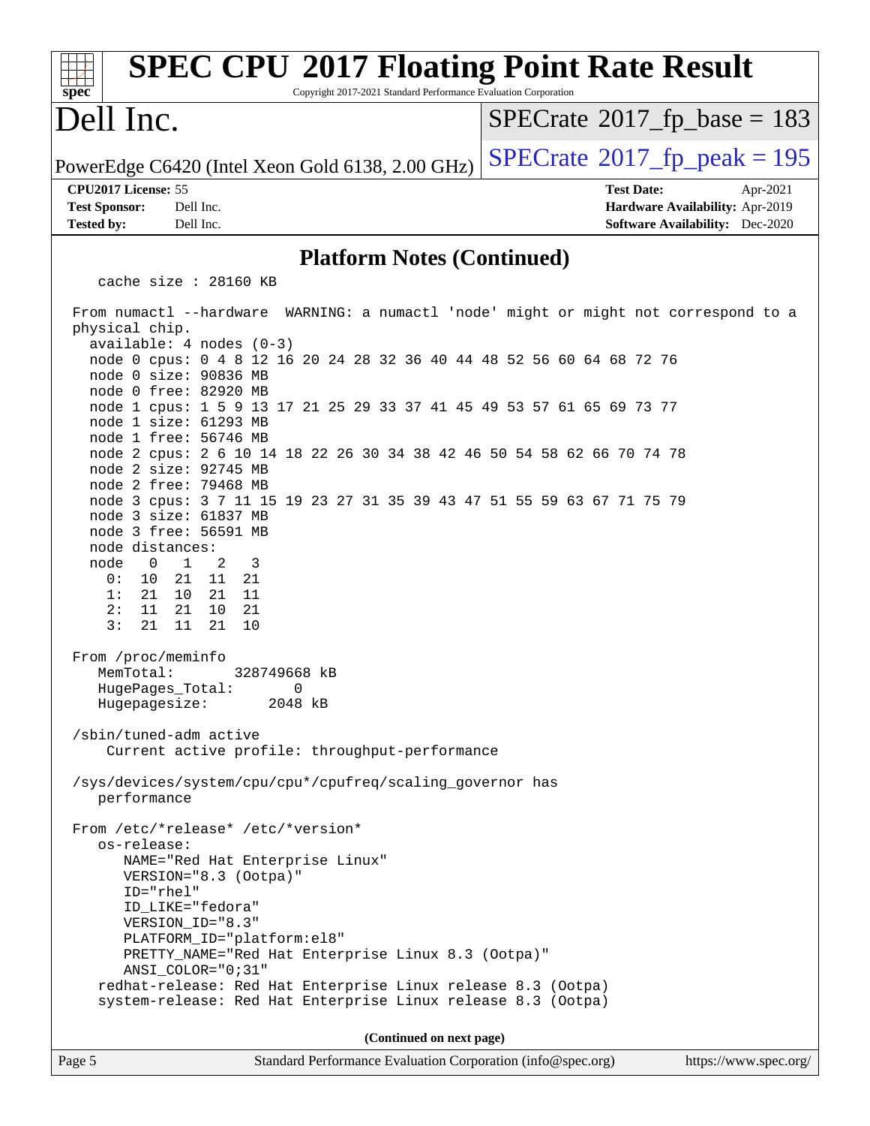#### Page 5 Standard Performance Evaluation Corporation [\(info@spec.org\)](mailto:info@spec.org) <https://www.spec.org/> **[spec](http://www.spec.org/) [SPEC CPU](http://www.spec.org/auto/cpu2017/Docs/result-fields.html#SPECCPU2017FloatingPointRateResult)[2017 Floating Point Rate Result](http://www.spec.org/auto/cpu2017/Docs/result-fields.html#SPECCPU2017FloatingPointRateResult)** Copyright 2017-2021 Standard Performance Evaluation Corporation Dell Inc. PowerEdge C6420 (Intel Xeon Gold 6138, 2.00 GHz)  $\left|$  [SPECrate](http://www.spec.org/auto/cpu2017/Docs/result-fields.html#SPECrate2017fppeak)<sup>®</sup>[2017\\_fp\\_peak = 1](http://www.spec.org/auto/cpu2017/Docs/result-fields.html#SPECrate2017fppeak)95  $SPECTate$ <sup>®</sup>[2017\\_fp\\_base =](http://www.spec.org/auto/cpu2017/Docs/result-fields.html#SPECrate2017fpbase) 183 **[CPU2017 License:](http://www.spec.org/auto/cpu2017/Docs/result-fields.html#CPU2017License)** 55 **[Test Date:](http://www.spec.org/auto/cpu2017/Docs/result-fields.html#TestDate)** Apr-2021 **[Test Sponsor:](http://www.spec.org/auto/cpu2017/Docs/result-fields.html#TestSponsor)** Dell Inc. **[Hardware Availability:](http://www.spec.org/auto/cpu2017/Docs/result-fields.html#HardwareAvailability)** Apr-2019 **[Tested by:](http://www.spec.org/auto/cpu2017/Docs/result-fields.html#Testedby)** Dell Inc. **[Software Availability:](http://www.spec.org/auto/cpu2017/Docs/result-fields.html#SoftwareAvailability)** Dec-2020 **[Platform Notes \(Continued\)](http://www.spec.org/auto/cpu2017/Docs/result-fields.html#PlatformNotes)** cache size : 28160 KB From numactl --hardware WARNING: a numactl 'node' might or might not correspond to a physical chip. available: 4 nodes (0-3) node 0 cpus: 0 4 8 12 16 20 24 28 32 36 40 44 48 52 56 60 64 68 72 76 node 0 size: 90836 MB node 0 free: 82920 MB node 1 cpus: 1 5 9 13 17 21 25 29 33 37 41 45 49 53 57 61 65 69 73 77 node 1 size: 61293 MB node 1 free: 56746 MB node 2 cpus: 2 6 10 14 18 22 26 30 34 38 42 46 50 54 58 62 66 70 74 78 node 2 size: 92745 MB node 2 free: 79468 MB node 3 cpus: 3 7 11 15 19 23 27 31 35 39 43 47 51 55 59 63 67 71 75 79 node 3 size: 61837 MB node 3 free: 56591 MB node distances: node 0 1 2 3 0: 10 21 11 21 1: 21 10 21 11 2: 11 21 10 21 3: 21 11 21 10 From /proc/meminfo MemTotal: 328749668 kB HugePages\_Total: 0 Hugepagesize: 2048 kB /sbin/tuned-adm active Current active profile: throughput-performance /sys/devices/system/cpu/cpu\*/cpufreq/scaling\_governor has performance From /etc/\*release\* /etc/\*version\* os-release: NAME="Red Hat Enterprise Linux" VERSION="8.3 (Ootpa)" ID="rhel" ID\_LIKE="fedora" VERSION\_ID="8.3" PLATFORM\_ID="platform:el8" PRETTY\_NAME="Red Hat Enterprise Linux 8.3 (Ootpa)" ANSI\_COLOR="0;31" redhat-release: Red Hat Enterprise Linux release 8.3 (Ootpa) system-release: Red Hat Enterprise Linux release 8.3 (Ootpa) **(Continued on next page)**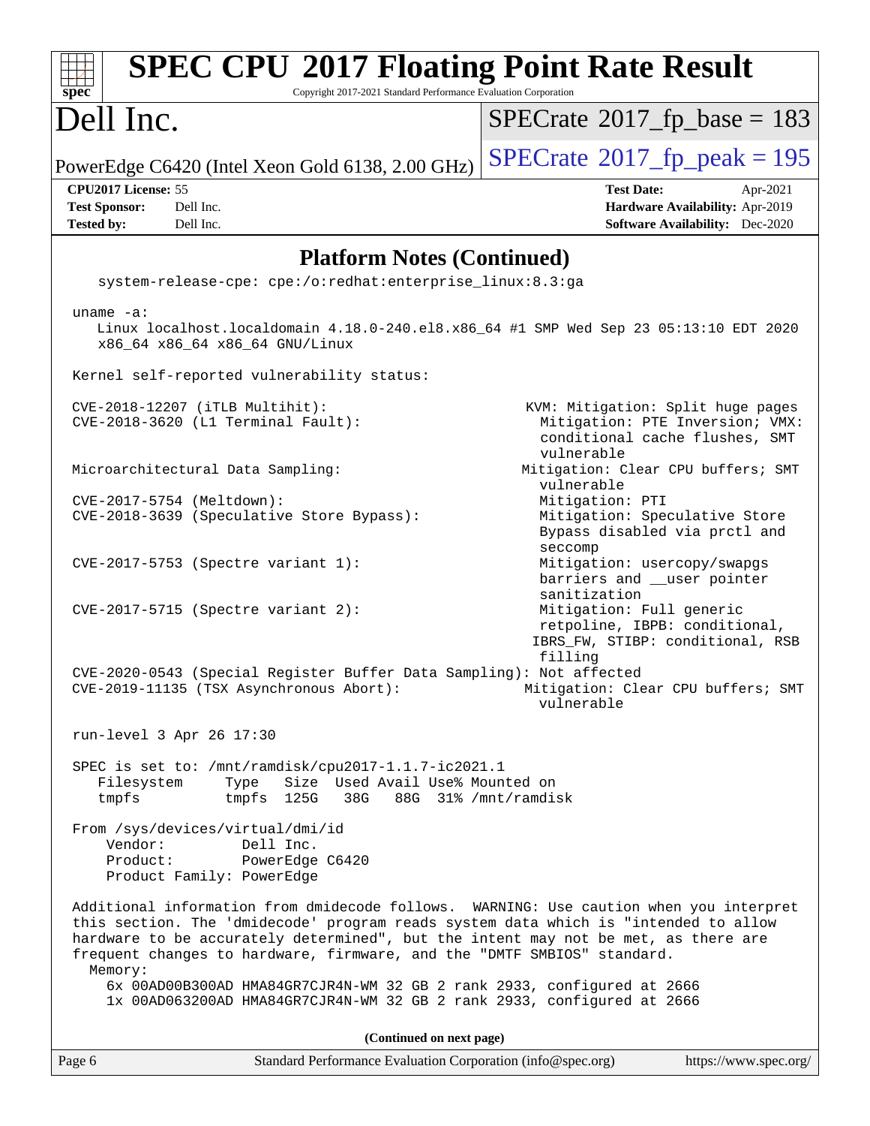| <b>SPEC CPU®2017 Floating Point Rate Result</b><br>Copyright 2017-2021 Standard Performance Evaluation Corporation<br>$spec^*$                                                                                                                                                                                                                            |                                                                                                                      |
|-----------------------------------------------------------------------------------------------------------------------------------------------------------------------------------------------------------------------------------------------------------------------------------------------------------------------------------------------------------|----------------------------------------------------------------------------------------------------------------------|
| Dell Inc.                                                                                                                                                                                                                                                                                                                                                 | $SPECrate$ <sup>®</sup> 2017_fp_base = 183                                                                           |
| PowerEdge C6420 (Intel Xeon Gold 6138, 2.00 GHz)                                                                                                                                                                                                                                                                                                          | $SPECrate@2017_fp\_peak = 195$                                                                                       |
| CPU2017 License: 55<br>Dell Inc.<br><b>Test Sponsor:</b><br><b>Tested by:</b><br>Dell Inc.                                                                                                                                                                                                                                                                | <b>Test Date:</b><br>Apr-2021<br>Hardware Availability: Apr-2019<br><b>Software Availability:</b> Dec-2020           |
| <b>Platform Notes (Continued)</b>                                                                                                                                                                                                                                                                                                                         |                                                                                                                      |
| system-release-cpe: cpe:/o:redhat:enterprise_linux:8.3:ga                                                                                                                                                                                                                                                                                                 |                                                                                                                      |
| uname $-a$ :<br>Linux localhost.localdomain 4.18.0-240.el8.x86_64 #1 SMP Wed Sep 23 05:13:10 EDT 2020<br>x86_64 x86_64 x86_64 GNU/Linux                                                                                                                                                                                                                   |                                                                                                                      |
| Kernel self-reported vulnerability status:                                                                                                                                                                                                                                                                                                                |                                                                                                                      |
| CVE-2018-12207 (iTLB Multihit):<br>CVE-2018-3620 (L1 Terminal Fault):                                                                                                                                                                                                                                                                                     | KVM: Mitigation: Split huge pages<br>Mitigation: PTE Inversion; VMX:<br>conditional cache flushes, SMT<br>vulnerable |
| Microarchitectural Data Sampling:                                                                                                                                                                                                                                                                                                                         | Mitigation: Clear CPU buffers; SMT<br>vulnerable                                                                     |
| CVE-2017-5754 (Meltdown):<br>CVE-2018-3639 (Speculative Store Bypass):                                                                                                                                                                                                                                                                                    | Mitigation: PTI<br>Mitigation: Speculative Store<br>Bypass disabled via prctl and<br>seccomp                         |
| CVE-2017-5753 (Spectre variant 1):                                                                                                                                                                                                                                                                                                                        | Mitigation: usercopy/swapgs<br>barriers and __user pointer<br>sanitization                                           |
| $CVE-2017-5715$ (Spectre variant 2):                                                                                                                                                                                                                                                                                                                      | Mitigation: Full generic<br>retpoline, IBPB: conditional,<br>IBRS_FW, STIBP: conditional, RSB<br>filling             |
| CVE-2020-0543 (Special Register Buffer Data Sampling): Not affected<br>CVE-2019-11135 (TSX Asynchronous Abort):                                                                                                                                                                                                                                           | Mitigation: Clear CPU buffers; SMT<br>vulnerable                                                                     |
| run-level 3 Apr 26 17:30                                                                                                                                                                                                                                                                                                                                  |                                                                                                                      |
| SPEC is set to: /mnt/ramdisk/cpu2017-1.1.7-ic2021.1<br>Size Used Avail Use% Mounted on<br>Type<br>Filesystem<br>tmpfs<br>tmpfs 125G<br>38G                                                                                                                                                                                                                | 88G 31% / mnt/ramdisk                                                                                                |
| From /sys/devices/virtual/dmi/id<br>Vendor:<br>Dell Inc.<br>Product:<br>PowerEdge C6420<br>Product Family: PowerEdge                                                                                                                                                                                                                                      |                                                                                                                      |
| Additional information from dmidecode follows. WARNING: Use caution when you interpret<br>this section. The 'dmidecode' program reads system data which is "intended to allow<br>hardware to be accurately determined", but the intent may not be met, as there are<br>frequent changes to hardware, firmware, and the "DMTF SMBIOS" standard.<br>Memory: |                                                                                                                      |
| 6x 00AD00B300AD HMA84GR7CJR4N-WM 32 GB 2 rank 2933, configured at 2666<br>1x 00AD063200AD HMA84GR7CJR4N-WM 32 GB 2 rank 2933, configured at 2666                                                                                                                                                                                                          |                                                                                                                      |
| (Continued on next page)                                                                                                                                                                                                                                                                                                                                  |                                                                                                                      |
| Standard Performance Evaluation Corporation (info@spec.org)<br>Page 6                                                                                                                                                                                                                                                                                     | https://www.spec.org/                                                                                                |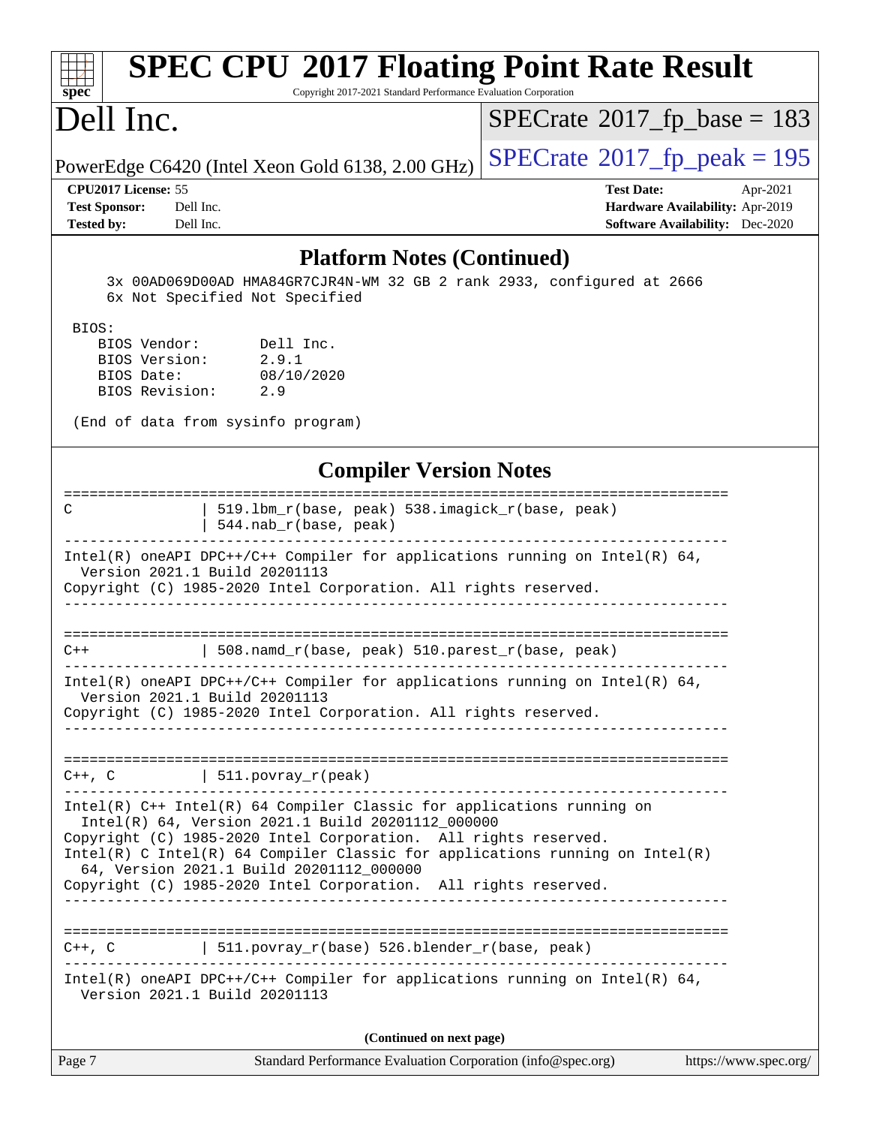| <b>SPEC CPU®2017 Floating Point Rate Result</b><br>Copyright 2017-2021 Standard Performance Evaluation Corporation<br>spec <sup>®</sup>                                                                                                                                                                                                                                                        |                                                                                                            |
|------------------------------------------------------------------------------------------------------------------------------------------------------------------------------------------------------------------------------------------------------------------------------------------------------------------------------------------------------------------------------------------------|------------------------------------------------------------------------------------------------------------|
| Dell Inc.                                                                                                                                                                                                                                                                                                                                                                                      | $SPECrate^{\circ}2017$ fp base = 183                                                                       |
| PowerEdge C6420 (Intel Xeon Gold 6138, 2.00 GHz)                                                                                                                                                                                                                                                                                                                                               | $SPECrate^{\circ}2017$ _fp_peak = 195                                                                      |
| CPU2017 License: 55<br><b>Test Sponsor:</b><br>Dell Inc.<br><b>Tested by:</b><br>Dell Inc.                                                                                                                                                                                                                                                                                                     | <b>Test Date:</b><br>Apr-2021<br>Hardware Availability: Apr-2019<br><b>Software Availability:</b> Dec-2020 |
| <b>Platform Notes (Continued)</b>                                                                                                                                                                                                                                                                                                                                                              |                                                                                                            |
| 3x 00AD069D00AD HMA84GR7CJR4N-WM 32 GB 2 rank 2933, configured at 2666<br>6x Not Specified Not Specified                                                                                                                                                                                                                                                                                       |                                                                                                            |
| BIOS:<br>BIOS Vendor:<br>Dell Inc.<br>2.9.1<br>BIOS Version:<br>BIOS Date:<br>08/10/2020<br>BIOS Revision:<br>2.9<br>(End of data from sysinfo program)                                                                                                                                                                                                                                        |                                                                                                            |
| <b>Compiler Version Notes</b>                                                                                                                                                                                                                                                                                                                                                                  |                                                                                                            |
| 519.1bm_r(base, peak) 538.imagick_r(base, peak)<br>C<br>$544.nab_r(base, peak)$                                                                                                                                                                                                                                                                                                                |                                                                                                            |
| Intel(R) oneAPI DPC++/C++ Compiler for applications running on Intel(R) $64$ ,<br>Version 2021.1 Build 20201113<br>Copyright (C) 1985-2020 Intel Corporation. All rights reserved.                                                                                                                                                                                                             |                                                                                                            |
| 508.namd_r(base, peak) 510.parest_r(base, peak)<br>$C++$                                                                                                                                                                                                                                                                                                                                       |                                                                                                            |
| Intel(R) oneAPI DPC++/C++ Compiler for applications running on Intel(R) $64$ ,<br>Version 2021.1 Build 20201113<br>Copyright (C) 1985-2020 Intel Corporation. All rights reserved.                                                                                                                                                                                                             |                                                                                                            |
| $\vert$ 511.povray_r(peak)<br>$C++$ , $C$                                                                                                                                                                                                                                                                                                                                                      |                                                                                                            |
| $Intel(R)$ C++ Intel(R) 64 Compiler Classic for applications running on<br>Intel(R) 64, Version 2021.1 Build 20201112_000000<br>Copyright (C) 1985-2020 Intel Corporation. All rights reserved.<br>Intel(R) C Intel(R) 64 Compiler Classic for applications running on Intel(R)<br>64, Version 2021.1 Build 20201112_000000<br>Copyright (C) 1985-2020 Intel Corporation. All rights reserved. |                                                                                                            |
| C++, C $\vert$ 511.povray_r(base) 526.blender_r(base, peak)<br>Intel(R) oneAPI DPC++/C++ Compiler for applications running on Intel(R) $64$ ,<br>Version 2021.1 Build 20201113                                                                                                                                                                                                                 |                                                                                                            |
| (Continued on next page)                                                                                                                                                                                                                                                                                                                                                                       |                                                                                                            |
| Page 7<br>Standard Performance Evaluation Corporation (info@spec.org)                                                                                                                                                                                                                                                                                                                          | https://www.spec.org/                                                                                      |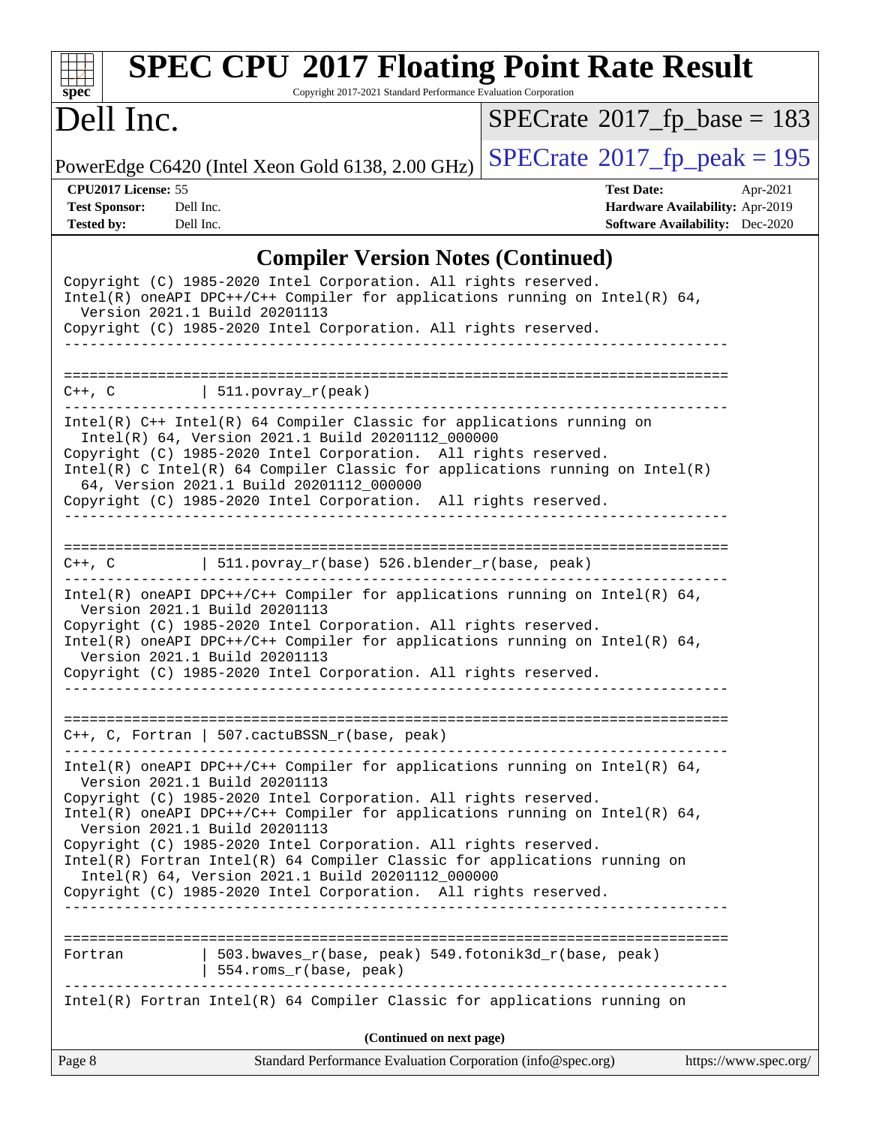| $\mathbf{Spec}^*$                                                                          | <b>SPEC CPU®2017 Floating Point Rate Result</b><br>Copyright 2017-2021 Standard Performance Evaluation Corporation                                                                                                                                                                                                                                                                                                                                                                                                                                                           |                                               |                                                                                       |
|--------------------------------------------------------------------------------------------|------------------------------------------------------------------------------------------------------------------------------------------------------------------------------------------------------------------------------------------------------------------------------------------------------------------------------------------------------------------------------------------------------------------------------------------------------------------------------------------------------------------------------------------------------------------------------|-----------------------------------------------|---------------------------------------------------------------------------------------|
| Dell Inc.                                                                                  |                                                                                                                                                                                                                                                                                                                                                                                                                                                                                                                                                                              | $SPECTate$ <sup>®</sup> 2017_fp_base = 183    |                                                                                       |
|                                                                                            | PowerEdge C6420 (Intel Xeon Gold 6138, 2.00 GHz)                                                                                                                                                                                                                                                                                                                                                                                                                                                                                                                             | $SPECrate$ <sup>®</sup> $2017$ _fp_peak = 195 |                                                                                       |
| CPU2017 License: 55<br><b>Test Sponsor:</b><br>Dell Inc.<br>Dell Inc.<br><b>Tested by:</b> |                                                                                                                                                                                                                                                                                                                                                                                                                                                                                                                                                                              | <b>Test Date:</b>                             | Apr-2021<br>Hardware Availability: Apr-2019<br><b>Software Availability:</b> Dec-2020 |
|                                                                                            | <b>Compiler Version Notes (Continued)</b>                                                                                                                                                                                                                                                                                                                                                                                                                                                                                                                                    |                                               |                                                                                       |
|                                                                                            | Copyright (C) 1985-2020 Intel Corporation. All rights reserved.<br>Intel(R) oneAPI DPC++/C++ Compiler for applications running on Intel(R) 64,<br>Version 2021.1 Build 20201113<br>Copyright (C) 1985-2020 Intel Corporation. All rights reserved.                                                                                                                                                                                                                                                                                                                           |                                               |                                                                                       |
| $C++$ , $C$                                                                                | $511. povray_r (peak)$                                                                                                                                                                                                                                                                                                                                                                                                                                                                                                                                                       |                                               |                                                                                       |
|                                                                                            | Intel(R) C++ Intel(R) 64 Compiler Classic for applications running on<br>Intel(R) 64, Version 2021.1 Build 20201112_000000<br>Copyright (C) 1985-2020 Intel Corporation. All rights reserved.<br>Intel(R) C Intel(R) 64 Compiler Classic for applications running on Intel(R)<br>64, Version 2021.1 Build 20201112_000000<br>Copyright (C) 1985-2020 Intel Corporation. All rights reserved.                                                                                                                                                                                 |                                               |                                                                                       |
| C++, C                                                                                     | 511.povray_r(base) 526.blender_r(base, peak)                                                                                                                                                                                                                                                                                                                                                                                                                                                                                                                                 |                                               |                                                                                       |
|                                                                                            | Intel(R) oneAPI DPC++/C++ Compiler for applications running on Intel(R) 64,<br>Version 2021.1 Build 20201113<br>Copyright (C) 1985-2020 Intel Corporation. All rights reserved.<br>Intel(R) oneAPI DPC++/C++ Compiler for applications running on Intel(R) 64,<br>Version 2021.1 Build 20201113<br>Copyright (C) 1985-2020 Intel Corporation. All rights reserved.                                                                                                                                                                                                           |                                               |                                                                                       |
|                                                                                            | C++, C, Fortran   507.cactuBSSN_r(base, peak)                                                                                                                                                                                                                                                                                                                                                                                                                                                                                                                                |                                               |                                                                                       |
|                                                                                            | $Intel(R)$ oneAPI DPC++/C++ Compiler for applications running on Intel(R) 64,<br>Version 2021.1 Build 20201113<br>Copyright (C) 1985-2020 Intel Corporation. All rights reserved.<br>Intel(R) oneAPI DPC++/C++ Compiler for applications running on Intel(R) $64$ ,<br>Version 2021.1 Build 20201113<br>Copyright (C) 1985-2020 Intel Corporation. All rights reserved.<br>Intel(R) Fortran Intel(R) 64 Compiler Classic for applications running on<br>Intel(R) 64, Version 2021.1 Build 20201112_000000<br>Copyright (C) 1985-2020 Intel Corporation. All rights reserved. |                                               |                                                                                       |
|                                                                                            |                                                                                                                                                                                                                                                                                                                                                                                                                                                                                                                                                                              |                                               |                                                                                       |
| Fortran                                                                                    | 503.bwaves_r(base, peak) 549.fotonik3d_r(base, peak)<br>  554.roms_r(base, peak)                                                                                                                                                                                                                                                                                                                                                                                                                                                                                             |                                               |                                                                                       |
|                                                                                            | Intel(R) Fortran Intel(R) 64 Compiler Classic for applications running on                                                                                                                                                                                                                                                                                                                                                                                                                                                                                                    |                                               |                                                                                       |
|                                                                                            | (Continued on next page)                                                                                                                                                                                                                                                                                                                                                                                                                                                                                                                                                     |                                               |                                                                                       |
| Page 8                                                                                     | Standard Performance Evaluation Corporation (info@spec.org)                                                                                                                                                                                                                                                                                                                                                                                                                                                                                                                  |                                               | https://www.spec.org/                                                                 |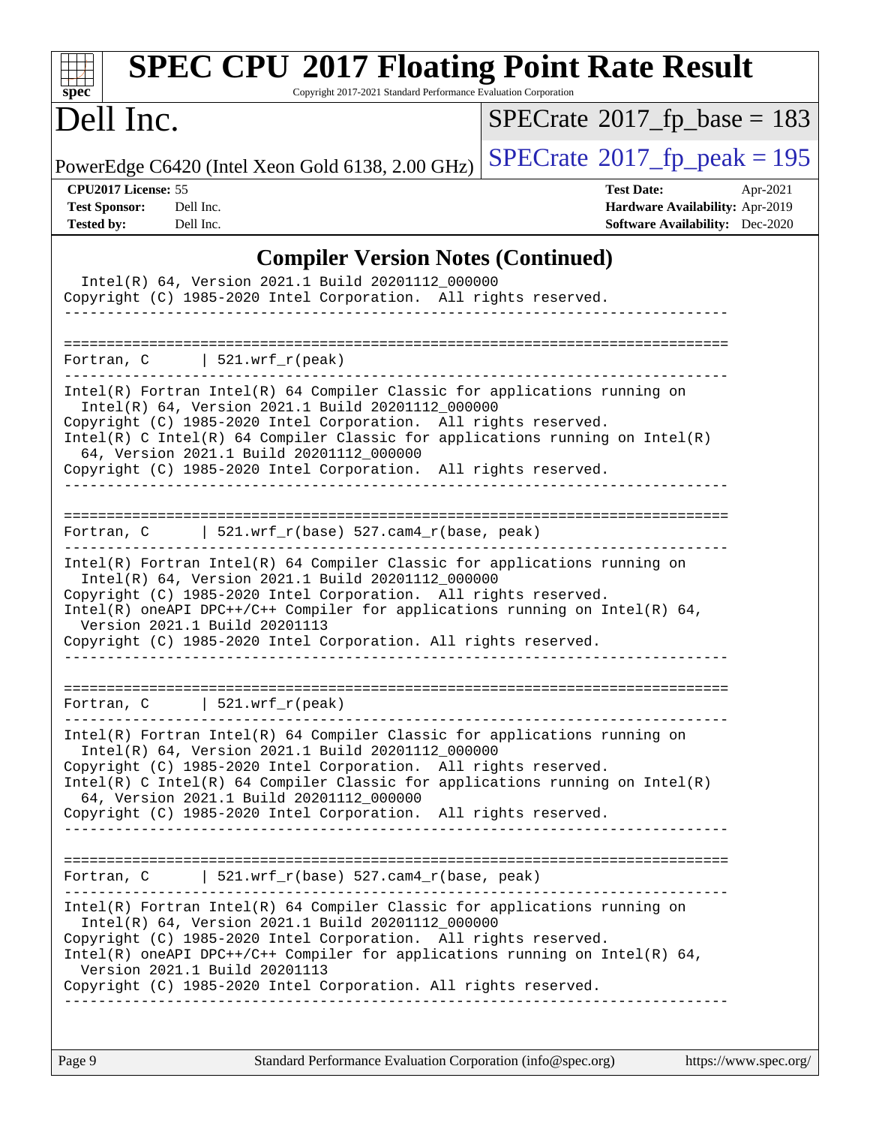| $\mathbf{Spec}^*$                                                                                                                                                                                                                                                                                                                               | <b>SPEC CPU®2017 Floating Point Rate Result</b><br>Copyright 2017-2021 Standard Performance Evaluation Corporation |                                            |                                                                                       |
|-------------------------------------------------------------------------------------------------------------------------------------------------------------------------------------------------------------------------------------------------------------------------------------------------------------------------------------------------|--------------------------------------------------------------------------------------------------------------------|--------------------------------------------|---------------------------------------------------------------------------------------|
| Dell Inc.                                                                                                                                                                                                                                                                                                                                       |                                                                                                                    | $SPECrate^{\circ}2017\_fp\_base = 183$     |                                                                                       |
| PowerEdge C6420 (Intel Xeon Gold 6138, 2.00 GHz)                                                                                                                                                                                                                                                                                                |                                                                                                                    | $SPECTate$ <sup>®</sup> 2017_fp_peak = 195 |                                                                                       |
| CPU2017 License: 55<br><b>Test Sponsor:</b><br>Dell Inc.<br><b>Tested by:</b><br>Dell Inc.                                                                                                                                                                                                                                                      |                                                                                                                    | <b>Test Date:</b>                          | Apr-2021<br>Hardware Availability: Apr-2019<br><b>Software Availability:</b> Dec-2020 |
|                                                                                                                                                                                                                                                                                                                                                 | <b>Compiler Version Notes (Continued)</b>                                                                          |                                            |                                                                                       |
| Copyright (C) 1985-2020 Intel Corporation. All rights reserved.                                                                                                                                                                                                                                                                                 | Intel(R) 64, Version 2021.1 Build 20201112_000000                                                                  |                                            |                                                                                       |
| $\vert$ 521.wrf_r(peak)<br>Fortran, C                                                                                                                                                                                                                                                                                                           |                                                                                                                    |                                            |                                                                                       |
| $Intel(R)$ Fortran Intel(R) 64 Compiler Classic for applications running on<br>Copyright (C) 1985-2020 Intel Corporation. All rights reserved.<br>$Intel(R)$ C Intel(R) 64 Compiler Classic for applications running on Intel(R)<br>64, Version 2021.1 Build 20201112_000000<br>Copyright (C) 1985-2020 Intel Corporation. All rights reserved. | Intel(R) 64, Version 2021.1 Build 20201112 000000                                                                  |                                            |                                                                                       |
| Fortran, C                                                                                                                                                                                                                                                                                                                                      | 521.wrf_r(base) 527.cam4_r(base, peak)                                                                             |                                            |                                                                                       |
| Intel(R) Fortran Intel(R) 64 Compiler Classic for applications running on<br>Copyright (C) 1985-2020 Intel Corporation. All rights reserved.<br>Intel(R) oneAPI DPC++/C++ Compiler for applications running on Intel(R) $64$ ,<br>Version 2021.1 Build 20201113<br>Copyright (C) 1985-2020 Intel Corporation. All rights reserved.              | Intel(R) 64, Version 2021.1 Build 20201112_000000                                                                  |                                            |                                                                                       |
| Fortran, C   521.wrf_r(peak)                                                                                                                                                                                                                                                                                                                    |                                                                                                                    |                                            |                                                                                       |
| $Intel(R)$ Fortran Intel(R) 64 Compiler Classic for applications running on<br>Copyright (C) 1985-2020 Intel Corporation. All rights reserved.<br>Intel(R) C Intel(R) 64 Compiler Classic for applications running on $Intel(R)$<br>64, Version 2021.1 Build 20201112_000000<br>Copyright (C) 1985-2020 Intel Corporation. All rights reserved. | Intel(R) 64, Version 2021.1 Build 20201112_000000<br><u> 1999 - Alexandr Alexandr alexandr a</u>                   |                                            |                                                                                       |
| Fortran, $C$   521.wrf_r(base) 527.cam4_r(base, peak)                                                                                                                                                                                                                                                                                           |                                                                                                                    |                                            |                                                                                       |
| Intel(R) Fortran Intel(R) 64 Compiler Classic for applications running on<br>Copyright (C) 1985-2020 Intel Corporation. All rights reserved.<br>Intel(R) oneAPI DPC++/C++ Compiler for applications running on Intel(R) $64$ ,<br>Version 2021.1 Build 20201113<br>Copyright (C) 1985-2020 Intel Corporation. All rights reserved.              | Intel(R) 64, Version 2021.1 Build 20201112_000000                                                                  |                                            |                                                                                       |
|                                                                                                                                                                                                                                                                                                                                                 |                                                                                                                    |                                            |                                                                                       |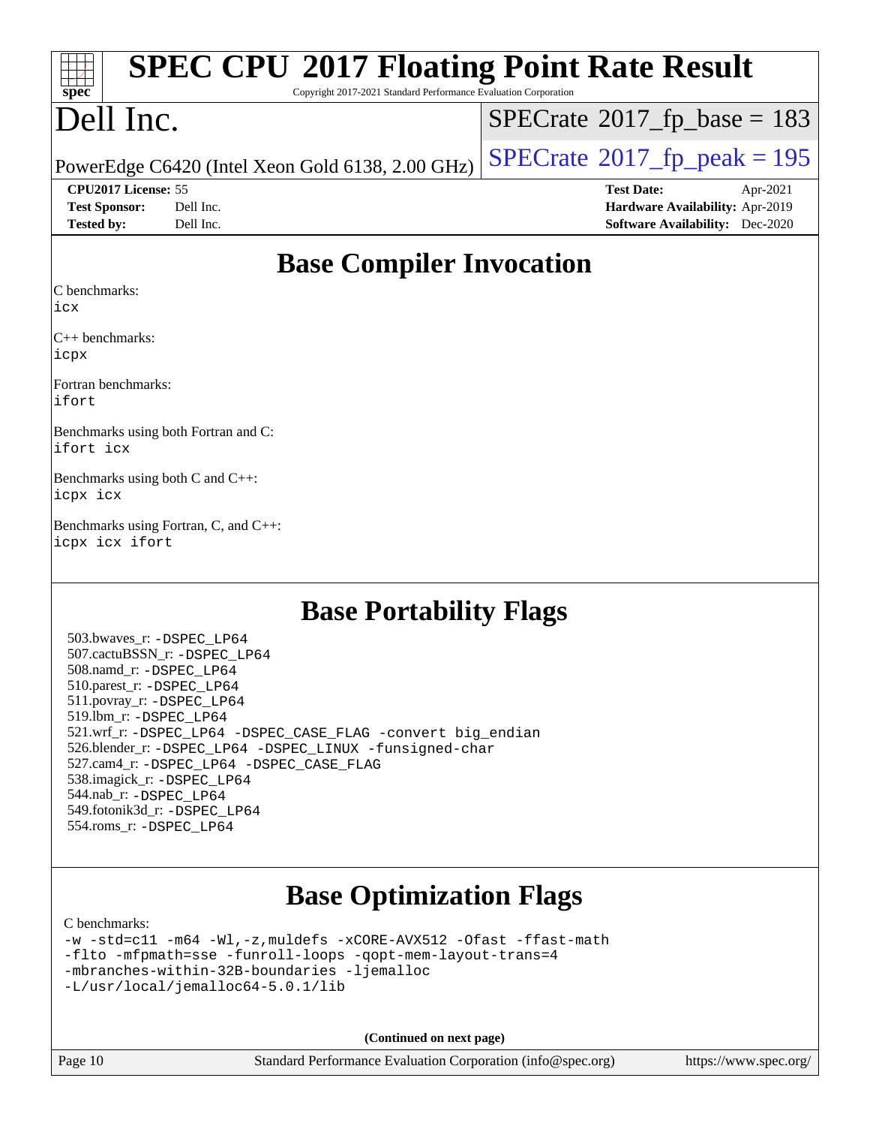| $\frac{1}{\text{spec}^*}$ | <b>SPEC CPU®2017 Floating Point Rate Result</b><br>Copyright 2017-2021 Standard Performance Evaluation Corporation |                                              |          |
|---------------------------|--------------------------------------------------------------------------------------------------------------------|----------------------------------------------|----------|
| Dell Inc.                 |                                                                                                                    | $SPECrate^{\circledast}2017_fp\_base = 183$  |          |
|                           | PowerEdge C6420 (Intel Xeon Gold 6138, 2.00 GHz)                                                                   | $SPECrate^{\circledcirc}2017$ _fp_peak = 195 |          |
| CPU2017 License: 55       |                                                                                                                    | <b>Test Date:</b>                            | Apr-2021 |
| <b>Test Sponsor:</b>      | Dell Inc.                                                                                                          | Hardware Availability: Apr-2019              |          |
| <b>Tested by:</b>         | Dell Inc.                                                                                                          | <b>Software Availability:</b> Dec-2020       |          |

## **[Base Compiler Invocation](http://www.spec.org/auto/cpu2017/Docs/result-fields.html#BaseCompilerInvocation)**

[C benchmarks](http://www.spec.org/auto/cpu2017/Docs/result-fields.html#Cbenchmarks):

[icx](http://www.spec.org/cpu2017/results/res2021q4/cpu2017-20211122-30175.flags.html#user_CCbase_intel_icx_fe2d28d19ae2a5db7c42fe0f2a2aed77cb715edd4aeb23434404a8be6683fe239869bb6ca8154ca98265c2e3b9226a719a0efe2953a4a7018c379b7010ccf087)

[C++ benchmarks](http://www.spec.org/auto/cpu2017/Docs/result-fields.html#CXXbenchmarks): [icpx](http://www.spec.org/cpu2017/results/res2021q4/cpu2017-20211122-30175.flags.html#user_CXXbase_intel_icpx_1e918ed14c436bf4b9b7c8bcdd51d4539fc71b3df010bd1e9f8732d9c34c2b2914e48204a846820f3c0ebb4095dea797a5c30b458ac0b6dffac65d78f781f5ca)

[Fortran benchmarks:](http://www.spec.org/auto/cpu2017/Docs/result-fields.html#Fortranbenchmarks) [ifort](http://www.spec.org/cpu2017/results/res2021q4/cpu2017-20211122-30175.flags.html#user_FCbase_intel_ifort_8111460550e3ca792625aed983ce982f94888b8b503583aa7ba2b8303487b4d8a21a13e7191a45c5fd58ff318f48f9492884d4413fa793fd88dd292cad7027ca)

[Benchmarks using both Fortran and C](http://www.spec.org/auto/cpu2017/Docs/result-fields.html#BenchmarksusingbothFortranandC): [ifort](http://www.spec.org/cpu2017/results/res2021q4/cpu2017-20211122-30175.flags.html#user_CC_FCbase_intel_ifort_8111460550e3ca792625aed983ce982f94888b8b503583aa7ba2b8303487b4d8a21a13e7191a45c5fd58ff318f48f9492884d4413fa793fd88dd292cad7027ca) [icx](http://www.spec.org/cpu2017/results/res2021q4/cpu2017-20211122-30175.flags.html#user_CC_FCbase_intel_icx_fe2d28d19ae2a5db7c42fe0f2a2aed77cb715edd4aeb23434404a8be6683fe239869bb6ca8154ca98265c2e3b9226a719a0efe2953a4a7018c379b7010ccf087)

[Benchmarks using both C and C++:](http://www.spec.org/auto/cpu2017/Docs/result-fields.html#BenchmarksusingbothCandCXX) [icpx](http://www.spec.org/cpu2017/results/res2021q4/cpu2017-20211122-30175.flags.html#user_CC_CXXbase_intel_icpx_1e918ed14c436bf4b9b7c8bcdd51d4539fc71b3df010bd1e9f8732d9c34c2b2914e48204a846820f3c0ebb4095dea797a5c30b458ac0b6dffac65d78f781f5ca) [icx](http://www.spec.org/cpu2017/results/res2021q4/cpu2017-20211122-30175.flags.html#user_CC_CXXbase_intel_icx_fe2d28d19ae2a5db7c42fe0f2a2aed77cb715edd4aeb23434404a8be6683fe239869bb6ca8154ca98265c2e3b9226a719a0efe2953a4a7018c379b7010ccf087)

[Benchmarks using Fortran, C, and C++](http://www.spec.org/auto/cpu2017/Docs/result-fields.html#BenchmarksusingFortranCandCXX): [icpx](http://www.spec.org/cpu2017/results/res2021q4/cpu2017-20211122-30175.flags.html#user_CC_CXX_FCbase_intel_icpx_1e918ed14c436bf4b9b7c8bcdd51d4539fc71b3df010bd1e9f8732d9c34c2b2914e48204a846820f3c0ebb4095dea797a5c30b458ac0b6dffac65d78f781f5ca) [icx](http://www.spec.org/cpu2017/results/res2021q4/cpu2017-20211122-30175.flags.html#user_CC_CXX_FCbase_intel_icx_fe2d28d19ae2a5db7c42fe0f2a2aed77cb715edd4aeb23434404a8be6683fe239869bb6ca8154ca98265c2e3b9226a719a0efe2953a4a7018c379b7010ccf087) [ifort](http://www.spec.org/cpu2017/results/res2021q4/cpu2017-20211122-30175.flags.html#user_CC_CXX_FCbase_intel_ifort_8111460550e3ca792625aed983ce982f94888b8b503583aa7ba2b8303487b4d8a21a13e7191a45c5fd58ff318f48f9492884d4413fa793fd88dd292cad7027ca)

## **[Base Portability Flags](http://www.spec.org/auto/cpu2017/Docs/result-fields.html#BasePortabilityFlags)**

 503.bwaves\_r: [-DSPEC\\_LP64](http://www.spec.org/cpu2017/results/res2021q4/cpu2017-20211122-30175.flags.html#suite_basePORTABILITY503_bwaves_r_DSPEC_LP64) 507.cactuBSSN\_r: [-DSPEC\\_LP64](http://www.spec.org/cpu2017/results/res2021q4/cpu2017-20211122-30175.flags.html#suite_basePORTABILITY507_cactuBSSN_r_DSPEC_LP64) 508.namd\_r: [-DSPEC\\_LP64](http://www.spec.org/cpu2017/results/res2021q4/cpu2017-20211122-30175.flags.html#suite_basePORTABILITY508_namd_r_DSPEC_LP64) 510.parest\_r: [-DSPEC\\_LP64](http://www.spec.org/cpu2017/results/res2021q4/cpu2017-20211122-30175.flags.html#suite_basePORTABILITY510_parest_r_DSPEC_LP64) 511.povray\_r: [-DSPEC\\_LP64](http://www.spec.org/cpu2017/results/res2021q4/cpu2017-20211122-30175.flags.html#suite_basePORTABILITY511_povray_r_DSPEC_LP64) 519.lbm\_r: [-DSPEC\\_LP64](http://www.spec.org/cpu2017/results/res2021q4/cpu2017-20211122-30175.flags.html#suite_basePORTABILITY519_lbm_r_DSPEC_LP64) 521.wrf\_r: [-DSPEC\\_LP64](http://www.spec.org/cpu2017/results/res2021q4/cpu2017-20211122-30175.flags.html#suite_basePORTABILITY521_wrf_r_DSPEC_LP64) [-DSPEC\\_CASE\\_FLAG](http://www.spec.org/cpu2017/results/res2021q4/cpu2017-20211122-30175.flags.html#b521.wrf_r_baseCPORTABILITY_DSPEC_CASE_FLAG) [-convert big\\_endian](http://www.spec.org/cpu2017/results/res2021q4/cpu2017-20211122-30175.flags.html#user_baseFPORTABILITY521_wrf_r_convert_big_endian_c3194028bc08c63ac5d04de18c48ce6d347e4e562e8892b8bdbdc0214820426deb8554edfa529a3fb25a586e65a3d812c835984020483e7e73212c4d31a38223) 526.blender\_r: [-DSPEC\\_LP64](http://www.spec.org/cpu2017/results/res2021q4/cpu2017-20211122-30175.flags.html#suite_basePORTABILITY526_blender_r_DSPEC_LP64) [-DSPEC\\_LINUX](http://www.spec.org/cpu2017/results/res2021q4/cpu2017-20211122-30175.flags.html#b526.blender_r_baseCPORTABILITY_DSPEC_LINUX) [-funsigned-char](http://www.spec.org/cpu2017/results/res2021q4/cpu2017-20211122-30175.flags.html#user_baseCPORTABILITY526_blender_r_force_uchar_40c60f00ab013830e2dd6774aeded3ff59883ba5a1fc5fc14077f794d777847726e2a5858cbc7672e36e1b067e7e5c1d9a74f7176df07886a243d7cc18edfe67) 527.cam4\_r: [-DSPEC\\_LP64](http://www.spec.org/cpu2017/results/res2021q4/cpu2017-20211122-30175.flags.html#suite_basePORTABILITY527_cam4_r_DSPEC_LP64) [-DSPEC\\_CASE\\_FLAG](http://www.spec.org/cpu2017/results/res2021q4/cpu2017-20211122-30175.flags.html#b527.cam4_r_baseCPORTABILITY_DSPEC_CASE_FLAG) 538.imagick\_r: [-DSPEC\\_LP64](http://www.spec.org/cpu2017/results/res2021q4/cpu2017-20211122-30175.flags.html#suite_basePORTABILITY538_imagick_r_DSPEC_LP64) 544.nab\_r: [-DSPEC\\_LP64](http://www.spec.org/cpu2017/results/res2021q4/cpu2017-20211122-30175.flags.html#suite_basePORTABILITY544_nab_r_DSPEC_LP64) 549.fotonik3d\_r: [-DSPEC\\_LP64](http://www.spec.org/cpu2017/results/res2021q4/cpu2017-20211122-30175.flags.html#suite_basePORTABILITY549_fotonik3d_r_DSPEC_LP64) 554.roms\_r: [-DSPEC\\_LP64](http://www.spec.org/cpu2017/results/res2021q4/cpu2017-20211122-30175.flags.html#suite_basePORTABILITY554_roms_r_DSPEC_LP64)

# **[Base Optimization Flags](http://www.spec.org/auto/cpu2017/Docs/result-fields.html#BaseOptimizationFlags)**

[C benchmarks](http://www.spec.org/auto/cpu2017/Docs/result-fields.html#Cbenchmarks):

[-w](http://www.spec.org/cpu2017/results/res2021q4/cpu2017-20211122-30175.flags.html#user_CCbase_supress_warning_66fb2c4e5c1dd10f38bdd29623979399e5ae75ae6e5453792d82ef66afed381df4a8602f92cac8d2ea0fffa7b93b4b1ccb9ecad4af01c9b2fe338b2082ae3859) [-std=c11](http://www.spec.org/cpu2017/results/res2021q4/cpu2017-20211122-30175.flags.html#user_CCbase_std-icc-std_0e1c27790398a4642dfca32ffe6c27b5796f9c2d2676156f2e42c9c44eaad0c049b1cdb667a270c34d979996257aeb8fc440bfb01818dbc9357bd9d174cb8524) [-m64](http://www.spec.org/cpu2017/results/res2021q4/cpu2017-20211122-30175.flags.html#user_CCbase_m64-icc) [-Wl,-z,muldefs](http://www.spec.org/cpu2017/results/res2021q4/cpu2017-20211122-30175.flags.html#user_CCbase_link_force_multiple1_b4cbdb97b34bdee9ceefcfe54f4c8ea74255f0b02a4b23e853cdb0e18eb4525ac79b5a88067c842dd0ee6996c24547a27a4b99331201badda8798ef8a743f577) [-xCORE-AVX512](http://www.spec.org/cpu2017/results/res2021q4/cpu2017-20211122-30175.flags.html#user_CCbase_f-xCORE-AVX512) [-Ofast](http://www.spec.org/cpu2017/results/res2021q4/cpu2017-20211122-30175.flags.html#user_CCbase_f-Ofast) [-ffast-math](http://www.spec.org/cpu2017/results/res2021q4/cpu2017-20211122-30175.flags.html#user_CCbase_f-ffast-math) [-flto](http://www.spec.org/cpu2017/results/res2021q4/cpu2017-20211122-30175.flags.html#user_CCbase_f-flto) [-mfpmath=sse](http://www.spec.org/cpu2017/results/res2021q4/cpu2017-20211122-30175.flags.html#user_CCbase_f-mfpmath_70eb8fac26bde974f8ab713bc9086c5621c0b8d2f6c86f38af0bd7062540daf19db5f3a066d8c6684be05d84c9b6322eb3b5be6619d967835195b93d6c02afa1) [-funroll-loops](http://www.spec.org/cpu2017/results/res2021q4/cpu2017-20211122-30175.flags.html#user_CCbase_f-funroll-loops) [-qopt-mem-layout-trans=4](http://www.spec.org/cpu2017/results/res2021q4/cpu2017-20211122-30175.flags.html#user_CCbase_f-qopt-mem-layout-trans_fa39e755916c150a61361b7846f310bcdf6f04e385ef281cadf3647acec3f0ae266d1a1d22d972a7087a248fd4e6ca390a3634700869573d231a252c784941a8) [-mbranches-within-32B-boundaries](http://www.spec.org/cpu2017/results/res2021q4/cpu2017-20211122-30175.flags.html#user_CCbase_f-mbranches-within-32B-boundaries) [-ljemalloc](http://www.spec.org/cpu2017/results/res2021q4/cpu2017-20211122-30175.flags.html#user_CCbase_jemalloc_link_lib_d1249b907c500fa1c0672f44f562e3d0f79738ae9e3c4a9c376d49f265a04b9c99b167ecedbf6711b3085be911c67ff61f150a17b3472be731631ba4d0471706) [-L/usr/local/jemalloc64-5.0.1/lib](http://www.spec.org/cpu2017/results/res2021q4/cpu2017-20211122-30175.flags.html#user_CCbase_jemalloc_link_path64_1_cc289568b1a6c0fd3b62c91b824c27fcb5af5e8098e6ad028160d21144ef1b8aef3170d2acf0bee98a8da324cfe4f67d0a3d0c4cc4673d993d694dc2a0df248b)

**(Continued on next page)**

Page 10 Standard Performance Evaluation Corporation [\(info@spec.org\)](mailto:info@spec.org) <https://www.spec.org/>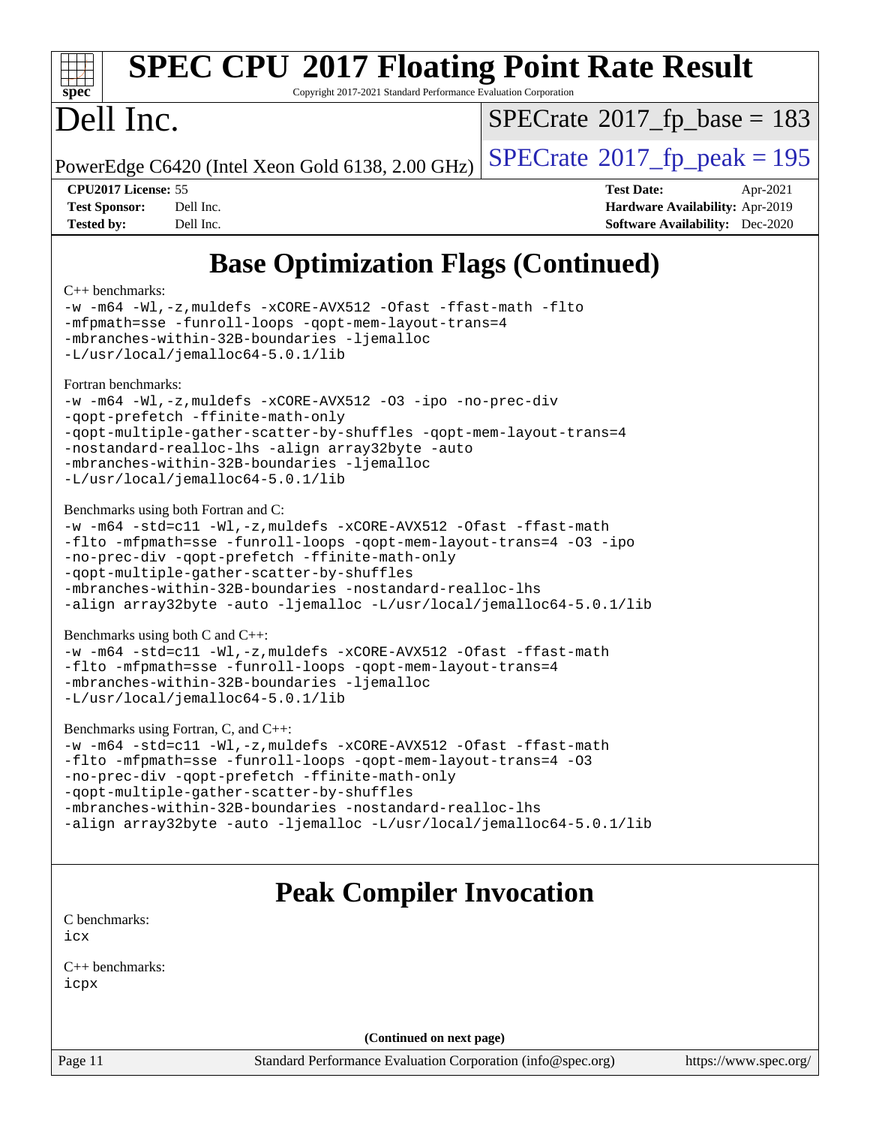

# **[SPEC CPU](http://www.spec.org/auto/cpu2017/Docs/result-fields.html#SPECCPU2017FloatingPointRateResult)[2017 Floating Point Rate Result](http://www.spec.org/auto/cpu2017/Docs/result-fields.html#SPECCPU2017FloatingPointRateResult)**

Copyright 2017-2021 Standard Performance Evaluation Corporation

# Dell Inc.

 $SPECTate$ <sup>®</sup>[2017\\_fp\\_base =](http://www.spec.org/auto/cpu2017/Docs/result-fields.html#SPECrate2017fpbase) 183

PowerEdge C6420 (Intel Xeon Gold 6138, 2.00 GHz)  $\left|$  [SPECrate](http://www.spec.org/auto/cpu2017/Docs/result-fields.html#SPECrate2017fppeak)<sup>®</sup>[2017\\_fp\\_peak = 1](http://www.spec.org/auto/cpu2017/Docs/result-fields.html#SPECrate2017fppeak)95

**[CPU2017 License:](http://www.spec.org/auto/cpu2017/Docs/result-fields.html#CPU2017License)** 55 **[Test Date:](http://www.spec.org/auto/cpu2017/Docs/result-fields.html#TestDate)** Apr-2021 **[Test Sponsor:](http://www.spec.org/auto/cpu2017/Docs/result-fields.html#TestSponsor)** Dell Inc. **[Hardware Availability:](http://www.spec.org/auto/cpu2017/Docs/result-fields.html#HardwareAvailability)** Apr-2019 **[Tested by:](http://www.spec.org/auto/cpu2017/Docs/result-fields.html#Testedby)** Dell Inc. **[Software Availability:](http://www.spec.org/auto/cpu2017/Docs/result-fields.html#SoftwareAvailability)** Dec-2020

# **[Base Optimization Flags \(Continued\)](http://www.spec.org/auto/cpu2017/Docs/result-fields.html#BaseOptimizationFlags)**

#### [C++ benchmarks:](http://www.spec.org/auto/cpu2017/Docs/result-fields.html#CXXbenchmarks)

[-w](http://www.spec.org/cpu2017/results/res2021q4/cpu2017-20211122-30175.flags.html#user_CXXbase_supress_warning_66fb2c4e5c1dd10f38bdd29623979399e5ae75ae6e5453792d82ef66afed381df4a8602f92cac8d2ea0fffa7b93b4b1ccb9ecad4af01c9b2fe338b2082ae3859) [-m64](http://www.spec.org/cpu2017/results/res2021q4/cpu2017-20211122-30175.flags.html#user_CXXbase_m64-icc) [-Wl,-z,muldefs](http://www.spec.org/cpu2017/results/res2021q4/cpu2017-20211122-30175.flags.html#user_CXXbase_link_force_multiple1_b4cbdb97b34bdee9ceefcfe54f4c8ea74255f0b02a4b23e853cdb0e18eb4525ac79b5a88067c842dd0ee6996c24547a27a4b99331201badda8798ef8a743f577) [-xCORE-AVX512](http://www.spec.org/cpu2017/results/res2021q4/cpu2017-20211122-30175.flags.html#user_CXXbase_f-xCORE-AVX512) [-Ofast](http://www.spec.org/cpu2017/results/res2021q4/cpu2017-20211122-30175.flags.html#user_CXXbase_f-Ofast) [-ffast-math](http://www.spec.org/cpu2017/results/res2021q4/cpu2017-20211122-30175.flags.html#user_CXXbase_f-ffast-math) [-flto](http://www.spec.org/cpu2017/results/res2021q4/cpu2017-20211122-30175.flags.html#user_CXXbase_f-flto) [-mfpmath=sse](http://www.spec.org/cpu2017/results/res2021q4/cpu2017-20211122-30175.flags.html#user_CXXbase_f-mfpmath_70eb8fac26bde974f8ab713bc9086c5621c0b8d2f6c86f38af0bd7062540daf19db5f3a066d8c6684be05d84c9b6322eb3b5be6619d967835195b93d6c02afa1) [-funroll-loops](http://www.spec.org/cpu2017/results/res2021q4/cpu2017-20211122-30175.flags.html#user_CXXbase_f-funroll-loops) [-qopt-mem-layout-trans=4](http://www.spec.org/cpu2017/results/res2021q4/cpu2017-20211122-30175.flags.html#user_CXXbase_f-qopt-mem-layout-trans_fa39e755916c150a61361b7846f310bcdf6f04e385ef281cadf3647acec3f0ae266d1a1d22d972a7087a248fd4e6ca390a3634700869573d231a252c784941a8) [-mbranches-within-32B-boundaries](http://www.spec.org/cpu2017/results/res2021q4/cpu2017-20211122-30175.flags.html#user_CXXbase_f-mbranches-within-32B-boundaries) [-ljemalloc](http://www.spec.org/cpu2017/results/res2021q4/cpu2017-20211122-30175.flags.html#user_CXXbase_jemalloc_link_lib_d1249b907c500fa1c0672f44f562e3d0f79738ae9e3c4a9c376d49f265a04b9c99b167ecedbf6711b3085be911c67ff61f150a17b3472be731631ba4d0471706) [-L/usr/local/jemalloc64-5.0.1/lib](http://www.spec.org/cpu2017/results/res2021q4/cpu2017-20211122-30175.flags.html#user_CXXbase_jemalloc_link_path64_1_cc289568b1a6c0fd3b62c91b824c27fcb5af5e8098e6ad028160d21144ef1b8aef3170d2acf0bee98a8da324cfe4f67d0a3d0c4cc4673d993d694dc2a0df248b) [Fortran benchmarks](http://www.spec.org/auto/cpu2017/Docs/result-fields.html#Fortranbenchmarks): [-w](http://www.spec.org/cpu2017/results/res2021q4/cpu2017-20211122-30175.flags.html#user_FCbase_supress_warning_66fb2c4e5c1dd10f38bdd29623979399e5ae75ae6e5453792d82ef66afed381df4a8602f92cac8d2ea0fffa7b93b4b1ccb9ecad4af01c9b2fe338b2082ae3859) [-m64](http://www.spec.org/cpu2017/results/res2021q4/cpu2017-20211122-30175.flags.html#user_FCbase_m64-icc) [-Wl,-z,muldefs](http://www.spec.org/cpu2017/results/res2021q4/cpu2017-20211122-30175.flags.html#user_FCbase_link_force_multiple1_b4cbdb97b34bdee9ceefcfe54f4c8ea74255f0b02a4b23e853cdb0e18eb4525ac79b5a88067c842dd0ee6996c24547a27a4b99331201badda8798ef8a743f577) [-xCORE-AVX512](http://www.spec.org/cpu2017/results/res2021q4/cpu2017-20211122-30175.flags.html#user_FCbase_f-xCORE-AVX512) [-O3](http://www.spec.org/cpu2017/results/res2021q4/cpu2017-20211122-30175.flags.html#user_FCbase_f-O3) [-ipo](http://www.spec.org/cpu2017/results/res2021q4/cpu2017-20211122-30175.flags.html#user_FCbase_f-ipo) [-no-prec-div](http://www.spec.org/cpu2017/results/res2021q4/cpu2017-20211122-30175.flags.html#user_FCbase_f-no-prec-div) [-qopt-prefetch](http://www.spec.org/cpu2017/results/res2021q4/cpu2017-20211122-30175.flags.html#user_FCbase_f-qopt-prefetch) [-ffinite-math-only](http://www.spec.org/cpu2017/results/res2021q4/cpu2017-20211122-30175.flags.html#user_FCbase_f_finite_math_only_cb91587bd2077682c4b38af759c288ed7c732db004271a9512da14a4f8007909a5f1427ecbf1a0fb78ff2a814402c6114ac565ca162485bbcae155b5e4258871) [-qopt-multiple-gather-scatter-by-shuffles](http://www.spec.org/cpu2017/results/res2021q4/cpu2017-20211122-30175.flags.html#user_FCbase_f-qopt-multiple-gather-scatter-by-shuffles) [-qopt-mem-layout-trans=4](http://www.spec.org/cpu2017/results/res2021q4/cpu2017-20211122-30175.flags.html#user_FCbase_f-qopt-mem-layout-trans_fa39e755916c150a61361b7846f310bcdf6f04e385ef281cadf3647acec3f0ae266d1a1d22d972a7087a248fd4e6ca390a3634700869573d231a252c784941a8) [-nostandard-realloc-lhs](http://www.spec.org/cpu2017/results/res2021q4/cpu2017-20211122-30175.flags.html#user_FCbase_f_2003_std_realloc_82b4557e90729c0f113870c07e44d33d6f5a304b4f63d4c15d2d0f1fab99f5daaed73bdb9275d9ae411527f28b936061aa8b9c8f2d63842963b95c9dd6426b8a) [-align array32byte](http://www.spec.org/cpu2017/results/res2021q4/cpu2017-20211122-30175.flags.html#user_FCbase_align_array32byte_b982fe038af199962ba9a80c053b8342c548c85b40b8e86eb3cc33dee0d7986a4af373ac2d51c3f7cf710a18d62fdce2948f201cd044323541f22fc0fffc51b6) [-auto](http://www.spec.org/cpu2017/results/res2021q4/cpu2017-20211122-30175.flags.html#user_FCbase_f-auto) [-mbranches-within-32B-boundaries](http://www.spec.org/cpu2017/results/res2021q4/cpu2017-20211122-30175.flags.html#user_FCbase_f-mbranches-within-32B-boundaries) [-ljemalloc](http://www.spec.org/cpu2017/results/res2021q4/cpu2017-20211122-30175.flags.html#user_FCbase_jemalloc_link_lib_d1249b907c500fa1c0672f44f562e3d0f79738ae9e3c4a9c376d49f265a04b9c99b167ecedbf6711b3085be911c67ff61f150a17b3472be731631ba4d0471706) [-L/usr/local/jemalloc64-5.0.1/lib](http://www.spec.org/cpu2017/results/res2021q4/cpu2017-20211122-30175.flags.html#user_FCbase_jemalloc_link_path64_1_cc289568b1a6c0fd3b62c91b824c27fcb5af5e8098e6ad028160d21144ef1b8aef3170d2acf0bee98a8da324cfe4f67d0a3d0c4cc4673d993d694dc2a0df248b) [Benchmarks using both Fortran and C](http://www.spec.org/auto/cpu2017/Docs/result-fields.html#BenchmarksusingbothFortranandC): [-w](http://www.spec.org/cpu2017/results/res2021q4/cpu2017-20211122-30175.flags.html#user_CC_FCbase_supress_warning_66fb2c4e5c1dd10f38bdd29623979399e5ae75ae6e5453792d82ef66afed381df4a8602f92cac8d2ea0fffa7b93b4b1ccb9ecad4af01c9b2fe338b2082ae3859) [-m64](http://www.spec.org/cpu2017/results/res2021q4/cpu2017-20211122-30175.flags.html#user_CC_FCbase_m64-icc) [-std=c11](http://www.spec.org/cpu2017/results/res2021q4/cpu2017-20211122-30175.flags.html#user_CC_FCbase_std-icc-std_0e1c27790398a4642dfca32ffe6c27b5796f9c2d2676156f2e42c9c44eaad0c049b1cdb667a270c34d979996257aeb8fc440bfb01818dbc9357bd9d174cb8524) [-Wl,-z,muldefs](http://www.spec.org/cpu2017/results/res2021q4/cpu2017-20211122-30175.flags.html#user_CC_FCbase_link_force_multiple1_b4cbdb97b34bdee9ceefcfe54f4c8ea74255f0b02a4b23e853cdb0e18eb4525ac79b5a88067c842dd0ee6996c24547a27a4b99331201badda8798ef8a743f577) [-xCORE-AVX512](http://www.spec.org/cpu2017/results/res2021q4/cpu2017-20211122-30175.flags.html#user_CC_FCbase_f-xCORE-AVX512) [-Ofast](http://www.spec.org/cpu2017/results/res2021q4/cpu2017-20211122-30175.flags.html#user_CC_FCbase_f-Ofast) [-ffast-math](http://www.spec.org/cpu2017/results/res2021q4/cpu2017-20211122-30175.flags.html#user_CC_FCbase_f-ffast-math) [-flto](http://www.spec.org/cpu2017/results/res2021q4/cpu2017-20211122-30175.flags.html#user_CC_FCbase_f-flto) [-mfpmath=sse](http://www.spec.org/cpu2017/results/res2021q4/cpu2017-20211122-30175.flags.html#user_CC_FCbase_f-mfpmath_70eb8fac26bde974f8ab713bc9086c5621c0b8d2f6c86f38af0bd7062540daf19db5f3a066d8c6684be05d84c9b6322eb3b5be6619d967835195b93d6c02afa1) [-funroll-loops](http://www.spec.org/cpu2017/results/res2021q4/cpu2017-20211122-30175.flags.html#user_CC_FCbase_f-funroll-loops) [-qopt-mem-layout-trans=4](http://www.spec.org/cpu2017/results/res2021q4/cpu2017-20211122-30175.flags.html#user_CC_FCbase_f-qopt-mem-layout-trans_fa39e755916c150a61361b7846f310bcdf6f04e385ef281cadf3647acec3f0ae266d1a1d22d972a7087a248fd4e6ca390a3634700869573d231a252c784941a8) [-O3](http://www.spec.org/cpu2017/results/res2021q4/cpu2017-20211122-30175.flags.html#user_CC_FCbase_f-O3) [-ipo](http://www.spec.org/cpu2017/results/res2021q4/cpu2017-20211122-30175.flags.html#user_CC_FCbase_f-ipo) [-no-prec-div](http://www.spec.org/cpu2017/results/res2021q4/cpu2017-20211122-30175.flags.html#user_CC_FCbase_f-no-prec-div) [-qopt-prefetch](http://www.spec.org/cpu2017/results/res2021q4/cpu2017-20211122-30175.flags.html#user_CC_FCbase_f-qopt-prefetch) [-ffinite-math-only](http://www.spec.org/cpu2017/results/res2021q4/cpu2017-20211122-30175.flags.html#user_CC_FCbase_f_finite_math_only_cb91587bd2077682c4b38af759c288ed7c732db004271a9512da14a4f8007909a5f1427ecbf1a0fb78ff2a814402c6114ac565ca162485bbcae155b5e4258871) [-qopt-multiple-gather-scatter-by-shuffles](http://www.spec.org/cpu2017/results/res2021q4/cpu2017-20211122-30175.flags.html#user_CC_FCbase_f-qopt-multiple-gather-scatter-by-shuffles) [-mbranches-within-32B-boundaries](http://www.spec.org/cpu2017/results/res2021q4/cpu2017-20211122-30175.flags.html#user_CC_FCbase_f-mbranches-within-32B-boundaries) [-nostandard-realloc-lhs](http://www.spec.org/cpu2017/results/res2021q4/cpu2017-20211122-30175.flags.html#user_CC_FCbase_f_2003_std_realloc_82b4557e90729c0f113870c07e44d33d6f5a304b4f63d4c15d2d0f1fab99f5daaed73bdb9275d9ae411527f28b936061aa8b9c8f2d63842963b95c9dd6426b8a) [-align array32byte](http://www.spec.org/cpu2017/results/res2021q4/cpu2017-20211122-30175.flags.html#user_CC_FCbase_align_array32byte_b982fe038af199962ba9a80c053b8342c548c85b40b8e86eb3cc33dee0d7986a4af373ac2d51c3f7cf710a18d62fdce2948f201cd044323541f22fc0fffc51b6) [-auto](http://www.spec.org/cpu2017/results/res2021q4/cpu2017-20211122-30175.flags.html#user_CC_FCbase_f-auto) [-ljemalloc](http://www.spec.org/cpu2017/results/res2021q4/cpu2017-20211122-30175.flags.html#user_CC_FCbase_jemalloc_link_lib_d1249b907c500fa1c0672f44f562e3d0f79738ae9e3c4a9c376d49f265a04b9c99b167ecedbf6711b3085be911c67ff61f150a17b3472be731631ba4d0471706) [-L/usr/local/jemalloc64-5.0.1/lib](http://www.spec.org/cpu2017/results/res2021q4/cpu2017-20211122-30175.flags.html#user_CC_FCbase_jemalloc_link_path64_1_cc289568b1a6c0fd3b62c91b824c27fcb5af5e8098e6ad028160d21144ef1b8aef3170d2acf0bee98a8da324cfe4f67d0a3d0c4cc4673d993d694dc2a0df248b) [Benchmarks using both C and C++](http://www.spec.org/auto/cpu2017/Docs/result-fields.html#BenchmarksusingbothCandCXX): [-w](http://www.spec.org/cpu2017/results/res2021q4/cpu2017-20211122-30175.flags.html#user_CC_CXXbase_supress_warning_66fb2c4e5c1dd10f38bdd29623979399e5ae75ae6e5453792d82ef66afed381df4a8602f92cac8d2ea0fffa7b93b4b1ccb9ecad4af01c9b2fe338b2082ae3859) [-m64](http://www.spec.org/cpu2017/results/res2021q4/cpu2017-20211122-30175.flags.html#user_CC_CXXbase_m64-icc) [-std=c11](http://www.spec.org/cpu2017/results/res2021q4/cpu2017-20211122-30175.flags.html#user_CC_CXXbase_std-icc-std_0e1c27790398a4642dfca32ffe6c27b5796f9c2d2676156f2e42c9c44eaad0c049b1cdb667a270c34d979996257aeb8fc440bfb01818dbc9357bd9d174cb8524) [-Wl,-z,muldefs](http://www.spec.org/cpu2017/results/res2021q4/cpu2017-20211122-30175.flags.html#user_CC_CXXbase_link_force_multiple1_b4cbdb97b34bdee9ceefcfe54f4c8ea74255f0b02a4b23e853cdb0e18eb4525ac79b5a88067c842dd0ee6996c24547a27a4b99331201badda8798ef8a743f577) [-xCORE-AVX512](http://www.spec.org/cpu2017/results/res2021q4/cpu2017-20211122-30175.flags.html#user_CC_CXXbase_f-xCORE-AVX512) [-Ofast](http://www.spec.org/cpu2017/results/res2021q4/cpu2017-20211122-30175.flags.html#user_CC_CXXbase_f-Ofast) [-ffast-math](http://www.spec.org/cpu2017/results/res2021q4/cpu2017-20211122-30175.flags.html#user_CC_CXXbase_f-ffast-math) [-flto](http://www.spec.org/cpu2017/results/res2021q4/cpu2017-20211122-30175.flags.html#user_CC_CXXbase_f-flto) [-mfpmath=sse](http://www.spec.org/cpu2017/results/res2021q4/cpu2017-20211122-30175.flags.html#user_CC_CXXbase_f-mfpmath_70eb8fac26bde974f8ab713bc9086c5621c0b8d2f6c86f38af0bd7062540daf19db5f3a066d8c6684be05d84c9b6322eb3b5be6619d967835195b93d6c02afa1) [-funroll-loops](http://www.spec.org/cpu2017/results/res2021q4/cpu2017-20211122-30175.flags.html#user_CC_CXXbase_f-funroll-loops) [-qopt-mem-layout-trans=4](http://www.spec.org/cpu2017/results/res2021q4/cpu2017-20211122-30175.flags.html#user_CC_CXXbase_f-qopt-mem-layout-trans_fa39e755916c150a61361b7846f310bcdf6f04e385ef281cadf3647acec3f0ae266d1a1d22d972a7087a248fd4e6ca390a3634700869573d231a252c784941a8) [-mbranches-within-32B-boundaries](http://www.spec.org/cpu2017/results/res2021q4/cpu2017-20211122-30175.flags.html#user_CC_CXXbase_f-mbranches-within-32B-boundaries) [-ljemalloc](http://www.spec.org/cpu2017/results/res2021q4/cpu2017-20211122-30175.flags.html#user_CC_CXXbase_jemalloc_link_lib_d1249b907c500fa1c0672f44f562e3d0f79738ae9e3c4a9c376d49f265a04b9c99b167ecedbf6711b3085be911c67ff61f150a17b3472be731631ba4d0471706) [-L/usr/local/jemalloc64-5.0.1/lib](http://www.spec.org/cpu2017/results/res2021q4/cpu2017-20211122-30175.flags.html#user_CC_CXXbase_jemalloc_link_path64_1_cc289568b1a6c0fd3b62c91b824c27fcb5af5e8098e6ad028160d21144ef1b8aef3170d2acf0bee98a8da324cfe4f67d0a3d0c4cc4673d993d694dc2a0df248b) [Benchmarks using Fortran, C, and C++:](http://www.spec.org/auto/cpu2017/Docs/result-fields.html#BenchmarksusingFortranCandCXX) [-w](http://www.spec.org/cpu2017/results/res2021q4/cpu2017-20211122-30175.flags.html#user_CC_CXX_FCbase_supress_warning_66fb2c4e5c1dd10f38bdd29623979399e5ae75ae6e5453792d82ef66afed381df4a8602f92cac8d2ea0fffa7b93b4b1ccb9ecad4af01c9b2fe338b2082ae3859) [-m64](http://www.spec.org/cpu2017/results/res2021q4/cpu2017-20211122-30175.flags.html#user_CC_CXX_FCbase_m64-icc) [-std=c11](http://www.spec.org/cpu2017/results/res2021q4/cpu2017-20211122-30175.flags.html#user_CC_CXX_FCbase_std-icc-std_0e1c27790398a4642dfca32ffe6c27b5796f9c2d2676156f2e42c9c44eaad0c049b1cdb667a270c34d979996257aeb8fc440bfb01818dbc9357bd9d174cb8524) [-Wl,-z,muldefs](http://www.spec.org/cpu2017/results/res2021q4/cpu2017-20211122-30175.flags.html#user_CC_CXX_FCbase_link_force_multiple1_b4cbdb97b34bdee9ceefcfe54f4c8ea74255f0b02a4b23e853cdb0e18eb4525ac79b5a88067c842dd0ee6996c24547a27a4b99331201badda8798ef8a743f577) [-xCORE-AVX512](http://www.spec.org/cpu2017/results/res2021q4/cpu2017-20211122-30175.flags.html#user_CC_CXX_FCbase_f-xCORE-AVX512) [-Ofast](http://www.spec.org/cpu2017/results/res2021q4/cpu2017-20211122-30175.flags.html#user_CC_CXX_FCbase_f-Ofast) [-ffast-math](http://www.spec.org/cpu2017/results/res2021q4/cpu2017-20211122-30175.flags.html#user_CC_CXX_FCbase_f-ffast-math) [-flto](http://www.spec.org/cpu2017/results/res2021q4/cpu2017-20211122-30175.flags.html#user_CC_CXX_FCbase_f-flto) [-mfpmath=sse](http://www.spec.org/cpu2017/results/res2021q4/cpu2017-20211122-30175.flags.html#user_CC_CXX_FCbase_f-mfpmath_70eb8fac26bde974f8ab713bc9086c5621c0b8d2f6c86f38af0bd7062540daf19db5f3a066d8c6684be05d84c9b6322eb3b5be6619d967835195b93d6c02afa1) [-funroll-loops](http://www.spec.org/cpu2017/results/res2021q4/cpu2017-20211122-30175.flags.html#user_CC_CXX_FCbase_f-funroll-loops) [-qopt-mem-layout-trans=4](http://www.spec.org/cpu2017/results/res2021q4/cpu2017-20211122-30175.flags.html#user_CC_CXX_FCbase_f-qopt-mem-layout-trans_fa39e755916c150a61361b7846f310bcdf6f04e385ef281cadf3647acec3f0ae266d1a1d22d972a7087a248fd4e6ca390a3634700869573d231a252c784941a8) [-O3](http://www.spec.org/cpu2017/results/res2021q4/cpu2017-20211122-30175.flags.html#user_CC_CXX_FCbase_f-O3) [-no-prec-div](http://www.spec.org/cpu2017/results/res2021q4/cpu2017-20211122-30175.flags.html#user_CC_CXX_FCbase_f-no-prec-div) [-qopt-prefetch](http://www.spec.org/cpu2017/results/res2021q4/cpu2017-20211122-30175.flags.html#user_CC_CXX_FCbase_f-qopt-prefetch) [-ffinite-math-only](http://www.spec.org/cpu2017/results/res2021q4/cpu2017-20211122-30175.flags.html#user_CC_CXX_FCbase_f_finite_math_only_cb91587bd2077682c4b38af759c288ed7c732db004271a9512da14a4f8007909a5f1427ecbf1a0fb78ff2a814402c6114ac565ca162485bbcae155b5e4258871) [-qopt-multiple-gather-scatter-by-shuffles](http://www.spec.org/cpu2017/results/res2021q4/cpu2017-20211122-30175.flags.html#user_CC_CXX_FCbase_f-qopt-multiple-gather-scatter-by-shuffles) [-mbranches-within-32B-boundaries](http://www.spec.org/cpu2017/results/res2021q4/cpu2017-20211122-30175.flags.html#user_CC_CXX_FCbase_f-mbranches-within-32B-boundaries) [-nostandard-realloc-lhs](http://www.spec.org/cpu2017/results/res2021q4/cpu2017-20211122-30175.flags.html#user_CC_CXX_FCbase_f_2003_std_realloc_82b4557e90729c0f113870c07e44d33d6f5a304b4f63d4c15d2d0f1fab99f5daaed73bdb9275d9ae411527f28b936061aa8b9c8f2d63842963b95c9dd6426b8a)

[-align array32byte](http://www.spec.org/cpu2017/results/res2021q4/cpu2017-20211122-30175.flags.html#user_CC_CXX_FCbase_align_array32byte_b982fe038af199962ba9a80c053b8342c548c85b40b8e86eb3cc33dee0d7986a4af373ac2d51c3f7cf710a18d62fdce2948f201cd044323541f22fc0fffc51b6) [-auto](http://www.spec.org/cpu2017/results/res2021q4/cpu2017-20211122-30175.flags.html#user_CC_CXX_FCbase_f-auto) [-ljemalloc](http://www.spec.org/cpu2017/results/res2021q4/cpu2017-20211122-30175.flags.html#user_CC_CXX_FCbase_jemalloc_link_lib_d1249b907c500fa1c0672f44f562e3d0f79738ae9e3c4a9c376d49f265a04b9c99b167ecedbf6711b3085be911c67ff61f150a17b3472be731631ba4d0471706) [-L/usr/local/jemalloc64-5.0.1/lib](http://www.spec.org/cpu2017/results/res2021q4/cpu2017-20211122-30175.flags.html#user_CC_CXX_FCbase_jemalloc_link_path64_1_cc289568b1a6c0fd3b62c91b824c27fcb5af5e8098e6ad028160d21144ef1b8aef3170d2acf0bee98a8da324cfe4f67d0a3d0c4cc4673d993d694dc2a0df248b)

## **[Peak Compiler Invocation](http://www.spec.org/auto/cpu2017/Docs/result-fields.html#PeakCompilerInvocation)**

[C benchmarks](http://www.spec.org/auto/cpu2017/Docs/result-fields.html#Cbenchmarks): [icx](http://www.spec.org/cpu2017/results/res2021q4/cpu2017-20211122-30175.flags.html#user_CCpeak_intel_icx_fe2d28d19ae2a5db7c42fe0f2a2aed77cb715edd4aeb23434404a8be6683fe239869bb6ca8154ca98265c2e3b9226a719a0efe2953a4a7018c379b7010ccf087)

[C++ benchmarks:](http://www.spec.org/auto/cpu2017/Docs/result-fields.html#CXXbenchmarks) [icpx](http://www.spec.org/cpu2017/results/res2021q4/cpu2017-20211122-30175.flags.html#user_CXXpeak_intel_icpx_1e918ed14c436bf4b9b7c8bcdd51d4539fc71b3df010bd1e9f8732d9c34c2b2914e48204a846820f3c0ebb4095dea797a5c30b458ac0b6dffac65d78f781f5ca)

**(Continued on next page)**

Page 11 Standard Performance Evaluation Corporation [\(info@spec.org\)](mailto:info@spec.org) <https://www.spec.org/>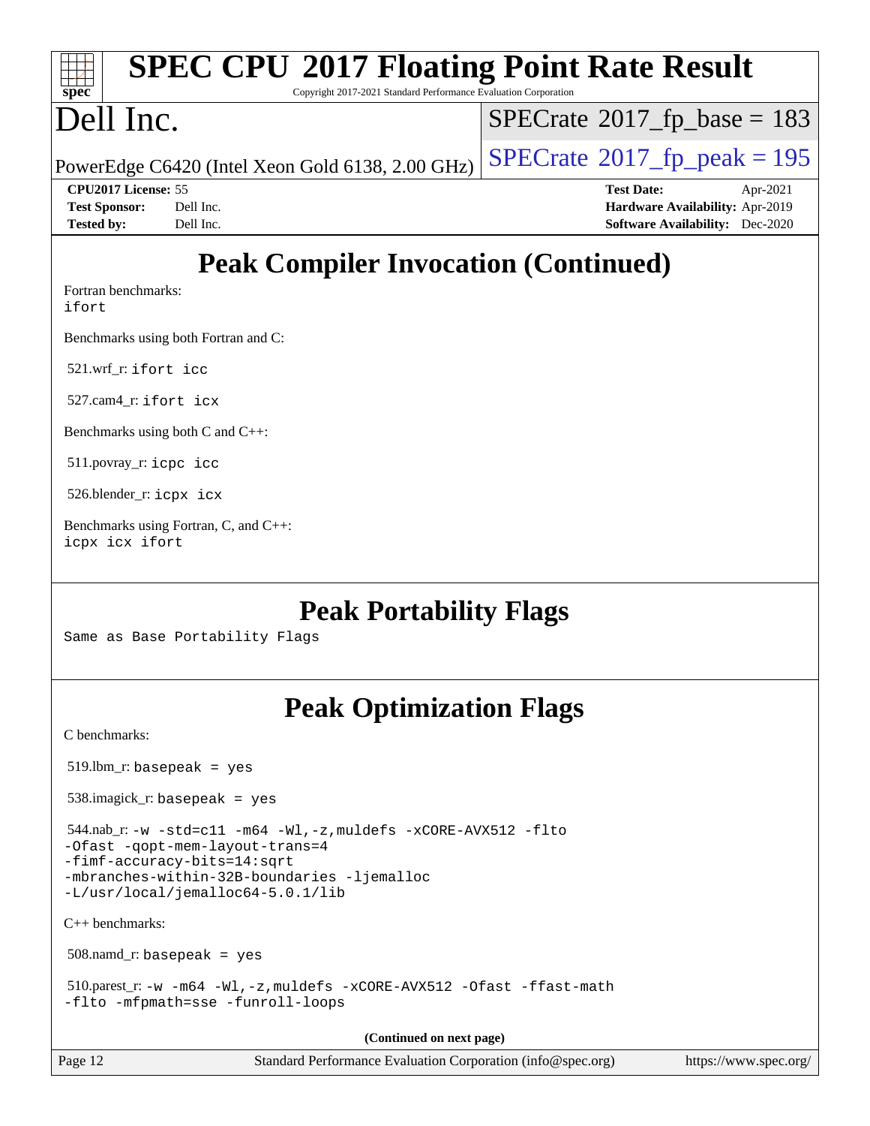# **[spec](http://www.spec.org/)**

# **[SPEC CPU](http://www.spec.org/auto/cpu2017/Docs/result-fields.html#SPECCPU2017FloatingPointRateResult)[2017 Floating Point Rate Result](http://www.spec.org/auto/cpu2017/Docs/result-fields.html#SPECCPU2017FloatingPointRateResult)**

Copyright 2017-2021 Standard Performance Evaluation Corporation

# Dell Inc.

 $SPECTate$ <sup>®</sup>[2017\\_fp\\_base =](http://www.spec.org/auto/cpu2017/Docs/result-fields.html#SPECrate2017fpbase) 183

PowerEdge C6420 (Intel Xeon Gold 6138, 2.00 GHz)  $\vert$  [SPECrate](http://www.spec.org/auto/cpu2017/Docs/result-fields.html#SPECrate2017fppeak)®[2017\\_fp\\_peak = 1](http://www.spec.org/auto/cpu2017/Docs/result-fields.html#SPECrate2017fppeak)95

**[CPU2017 License:](http://www.spec.org/auto/cpu2017/Docs/result-fields.html#CPU2017License)** 55 **[Test Date:](http://www.spec.org/auto/cpu2017/Docs/result-fields.html#TestDate)** Apr-2021 **[Test Sponsor:](http://www.spec.org/auto/cpu2017/Docs/result-fields.html#TestSponsor)** Dell Inc. **[Hardware Availability:](http://www.spec.org/auto/cpu2017/Docs/result-fields.html#HardwareAvailability)** Apr-2019 **[Tested by:](http://www.spec.org/auto/cpu2017/Docs/result-fields.html#Testedby)** Dell Inc. **[Software Availability:](http://www.spec.org/auto/cpu2017/Docs/result-fields.html#SoftwareAvailability)** Dec-2020

# **[Peak Compiler Invocation \(Continued\)](http://www.spec.org/auto/cpu2017/Docs/result-fields.html#PeakCompilerInvocation)**

[Fortran benchmarks](http://www.spec.org/auto/cpu2017/Docs/result-fields.html#Fortranbenchmarks):

[ifort](http://www.spec.org/cpu2017/results/res2021q4/cpu2017-20211122-30175.flags.html#user_FCpeak_intel_ifort_8111460550e3ca792625aed983ce982f94888b8b503583aa7ba2b8303487b4d8a21a13e7191a45c5fd58ff318f48f9492884d4413fa793fd88dd292cad7027ca)

[Benchmarks using both Fortran and C](http://www.spec.org/auto/cpu2017/Docs/result-fields.html#BenchmarksusingbothFortranandC):

521.wrf\_r: [ifort](http://www.spec.org/cpu2017/results/res2021q4/cpu2017-20211122-30175.flags.html#user_peakFCLD521_wrf_r_intel_ifort_8111460550e3ca792625aed983ce982f94888b8b503583aa7ba2b8303487b4d8a21a13e7191a45c5fd58ff318f48f9492884d4413fa793fd88dd292cad7027ca) [icc](http://www.spec.org/cpu2017/results/res2021q4/cpu2017-20211122-30175.flags.html#user_peakCC521_wrf_r_intel_icc_66fc1ee009f7361af1fbd72ca7dcefbb700085f36577c54f309893dd4ec40d12360134090235512931783d35fd58c0460139e722d5067c5574d8eaf2b3e37e92)

527.cam4\_r: [ifort](http://www.spec.org/cpu2017/results/res2021q4/cpu2017-20211122-30175.flags.html#user_peakFCLD527_cam4_r_intel_ifort_8111460550e3ca792625aed983ce982f94888b8b503583aa7ba2b8303487b4d8a21a13e7191a45c5fd58ff318f48f9492884d4413fa793fd88dd292cad7027ca) [icx](http://www.spec.org/cpu2017/results/res2021q4/cpu2017-20211122-30175.flags.html#user_peakCC527_cam4_r_intel_icx_fe2d28d19ae2a5db7c42fe0f2a2aed77cb715edd4aeb23434404a8be6683fe239869bb6ca8154ca98265c2e3b9226a719a0efe2953a4a7018c379b7010ccf087)

[Benchmarks using both C and C++](http://www.spec.org/auto/cpu2017/Docs/result-fields.html#BenchmarksusingbothCandCXX):

511.povray\_r: [icpc](http://www.spec.org/cpu2017/results/res2021q4/cpu2017-20211122-30175.flags.html#user_peakCXXLD511_povray_r_intel_icpc_c510b6838c7f56d33e37e94d029a35b4a7bccf4766a728ee175e80a419847e808290a9b78be685c44ab727ea267ec2f070ec5dc83b407c0218cded6866a35d07) [icc](http://www.spec.org/cpu2017/results/res2021q4/cpu2017-20211122-30175.flags.html#user_peakCC511_povray_r_intel_icc_66fc1ee009f7361af1fbd72ca7dcefbb700085f36577c54f309893dd4ec40d12360134090235512931783d35fd58c0460139e722d5067c5574d8eaf2b3e37e92)

526.blender\_r: [icpx](http://www.spec.org/cpu2017/results/res2021q4/cpu2017-20211122-30175.flags.html#user_peakCXXLD526_blender_r_intel_icpx_1e918ed14c436bf4b9b7c8bcdd51d4539fc71b3df010bd1e9f8732d9c34c2b2914e48204a846820f3c0ebb4095dea797a5c30b458ac0b6dffac65d78f781f5ca) [icx](http://www.spec.org/cpu2017/results/res2021q4/cpu2017-20211122-30175.flags.html#user_peakCC526_blender_r_intel_icx_fe2d28d19ae2a5db7c42fe0f2a2aed77cb715edd4aeb23434404a8be6683fe239869bb6ca8154ca98265c2e3b9226a719a0efe2953a4a7018c379b7010ccf087)

[Benchmarks using Fortran, C, and C++:](http://www.spec.org/auto/cpu2017/Docs/result-fields.html#BenchmarksusingFortranCandCXX) [icpx](http://www.spec.org/cpu2017/results/res2021q4/cpu2017-20211122-30175.flags.html#user_CC_CXX_FCpeak_intel_icpx_1e918ed14c436bf4b9b7c8bcdd51d4539fc71b3df010bd1e9f8732d9c34c2b2914e48204a846820f3c0ebb4095dea797a5c30b458ac0b6dffac65d78f781f5ca) [icx](http://www.spec.org/cpu2017/results/res2021q4/cpu2017-20211122-30175.flags.html#user_CC_CXX_FCpeak_intel_icx_fe2d28d19ae2a5db7c42fe0f2a2aed77cb715edd4aeb23434404a8be6683fe239869bb6ca8154ca98265c2e3b9226a719a0efe2953a4a7018c379b7010ccf087) [ifort](http://www.spec.org/cpu2017/results/res2021q4/cpu2017-20211122-30175.flags.html#user_CC_CXX_FCpeak_intel_ifort_8111460550e3ca792625aed983ce982f94888b8b503583aa7ba2b8303487b4d8a21a13e7191a45c5fd58ff318f48f9492884d4413fa793fd88dd292cad7027ca)

# **[Peak Portability Flags](http://www.spec.org/auto/cpu2017/Docs/result-fields.html#PeakPortabilityFlags)**

Same as Base Portability Flags

# **[Peak Optimization Flags](http://www.spec.org/auto/cpu2017/Docs/result-fields.html#PeakOptimizationFlags)**

[C benchmarks](http://www.spec.org/auto/cpu2017/Docs/result-fields.html#Cbenchmarks):

519.lbm\_r: basepeak = yes

538.imagick\_r: basepeak = yes

 544.nab\_r: [-w](http://www.spec.org/cpu2017/results/res2021q4/cpu2017-20211122-30175.flags.html#user_peakCCLD544_nab_r_supress_warning_66fb2c4e5c1dd10f38bdd29623979399e5ae75ae6e5453792d82ef66afed381df4a8602f92cac8d2ea0fffa7b93b4b1ccb9ecad4af01c9b2fe338b2082ae3859) [-std=c11](http://www.spec.org/cpu2017/results/res2021q4/cpu2017-20211122-30175.flags.html#user_peakCCLD544_nab_r_std-icc-std_0e1c27790398a4642dfca32ffe6c27b5796f9c2d2676156f2e42c9c44eaad0c049b1cdb667a270c34d979996257aeb8fc440bfb01818dbc9357bd9d174cb8524) [-m64](http://www.spec.org/cpu2017/results/res2021q4/cpu2017-20211122-30175.flags.html#user_peakCCLD544_nab_r_m64-icc) [-Wl,-z,muldefs](http://www.spec.org/cpu2017/results/res2021q4/cpu2017-20211122-30175.flags.html#user_peakEXTRA_LDFLAGS544_nab_r_link_force_multiple1_b4cbdb97b34bdee9ceefcfe54f4c8ea74255f0b02a4b23e853cdb0e18eb4525ac79b5a88067c842dd0ee6996c24547a27a4b99331201badda8798ef8a743f577) [-xCORE-AVX512](http://www.spec.org/cpu2017/results/res2021q4/cpu2017-20211122-30175.flags.html#user_peakCOPTIMIZE544_nab_r_f-xCORE-AVX512) [-flto](http://www.spec.org/cpu2017/results/res2021q4/cpu2017-20211122-30175.flags.html#user_peakCOPTIMIZE544_nab_r_f-flto) [-Ofast](http://www.spec.org/cpu2017/results/res2021q4/cpu2017-20211122-30175.flags.html#user_peakCOPTIMIZE544_nab_r_f-Ofast) [-qopt-mem-layout-trans=4](http://www.spec.org/cpu2017/results/res2021q4/cpu2017-20211122-30175.flags.html#user_peakCOPTIMIZE544_nab_r_f-qopt-mem-layout-trans_fa39e755916c150a61361b7846f310bcdf6f04e385ef281cadf3647acec3f0ae266d1a1d22d972a7087a248fd4e6ca390a3634700869573d231a252c784941a8)

[-fimf-accuracy-bits=14:sqrt](http://www.spec.org/cpu2017/results/res2021q4/cpu2017-20211122-30175.flags.html#user_peakEXTRA_OPTIMIZE544_nab_r_f-imf-accuracy-bits_dec3764af0c61f52590ca8f859bc2b38948cb3a9f4bd45f959a8dd6743142ff5c0d5c89fdfba8d7c6d41a5122d7dc4d32797a5effd20a981baa30839b7373d7d)

[-mbranches-within-32B-boundaries](http://www.spec.org/cpu2017/results/res2021q4/cpu2017-20211122-30175.flags.html#user_peakEXTRA_COPTIMIZE544_nab_r_f-mbranches-within-32B-boundaries) [-ljemalloc](http://www.spec.org/cpu2017/results/res2021q4/cpu2017-20211122-30175.flags.html#user_peakEXTRA_LIBS544_nab_r_jemalloc_link_lib_d1249b907c500fa1c0672f44f562e3d0f79738ae9e3c4a9c376d49f265a04b9c99b167ecedbf6711b3085be911c67ff61f150a17b3472be731631ba4d0471706) [-L/usr/local/jemalloc64-5.0.1/lib](http://www.spec.org/cpu2017/results/res2021q4/cpu2017-20211122-30175.flags.html#user_peakEXTRA_LIBS544_nab_r_jemalloc_link_path64_1_cc289568b1a6c0fd3b62c91b824c27fcb5af5e8098e6ad028160d21144ef1b8aef3170d2acf0bee98a8da324cfe4f67d0a3d0c4cc4673d993d694dc2a0df248b)

[C++ benchmarks:](http://www.spec.org/auto/cpu2017/Docs/result-fields.html#CXXbenchmarks)

508.namd\_r: basepeak = yes

 510.parest\_r: [-w](http://www.spec.org/cpu2017/results/res2021q4/cpu2017-20211122-30175.flags.html#user_peakCXXLD510_parest_r_supress_warning_66fb2c4e5c1dd10f38bdd29623979399e5ae75ae6e5453792d82ef66afed381df4a8602f92cac8d2ea0fffa7b93b4b1ccb9ecad4af01c9b2fe338b2082ae3859) [-m64](http://www.spec.org/cpu2017/results/res2021q4/cpu2017-20211122-30175.flags.html#user_peakCXXLD510_parest_r_m64-icc) [-Wl,-z,muldefs](http://www.spec.org/cpu2017/results/res2021q4/cpu2017-20211122-30175.flags.html#user_peakEXTRA_LDFLAGS510_parest_r_link_force_multiple1_b4cbdb97b34bdee9ceefcfe54f4c8ea74255f0b02a4b23e853cdb0e18eb4525ac79b5a88067c842dd0ee6996c24547a27a4b99331201badda8798ef8a743f577) [-xCORE-AVX512](http://www.spec.org/cpu2017/results/res2021q4/cpu2017-20211122-30175.flags.html#user_peakCXXOPTIMIZE510_parest_r_f-xCORE-AVX512) [-Ofast](http://www.spec.org/cpu2017/results/res2021q4/cpu2017-20211122-30175.flags.html#user_peakCXXOPTIMIZE510_parest_r_f-Ofast) [-ffast-math](http://www.spec.org/cpu2017/results/res2021q4/cpu2017-20211122-30175.flags.html#user_peakCXXOPTIMIZE510_parest_r_f-ffast-math) [-flto](http://www.spec.org/cpu2017/results/res2021q4/cpu2017-20211122-30175.flags.html#user_peakCXXOPTIMIZE510_parest_r_f-flto) [-mfpmath=sse](http://www.spec.org/cpu2017/results/res2021q4/cpu2017-20211122-30175.flags.html#user_peakCXXOPTIMIZE510_parest_r_f-mfpmath_70eb8fac26bde974f8ab713bc9086c5621c0b8d2f6c86f38af0bd7062540daf19db5f3a066d8c6684be05d84c9b6322eb3b5be6619d967835195b93d6c02afa1) [-funroll-loops](http://www.spec.org/cpu2017/results/res2021q4/cpu2017-20211122-30175.flags.html#user_peakCXXOPTIMIZE510_parest_r_f-funroll-loops)

**(Continued on next page)**

Page 12 Standard Performance Evaluation Corporation [\(info@spec.org\)](mailto:info@spec.org) <https://www.spec.org/>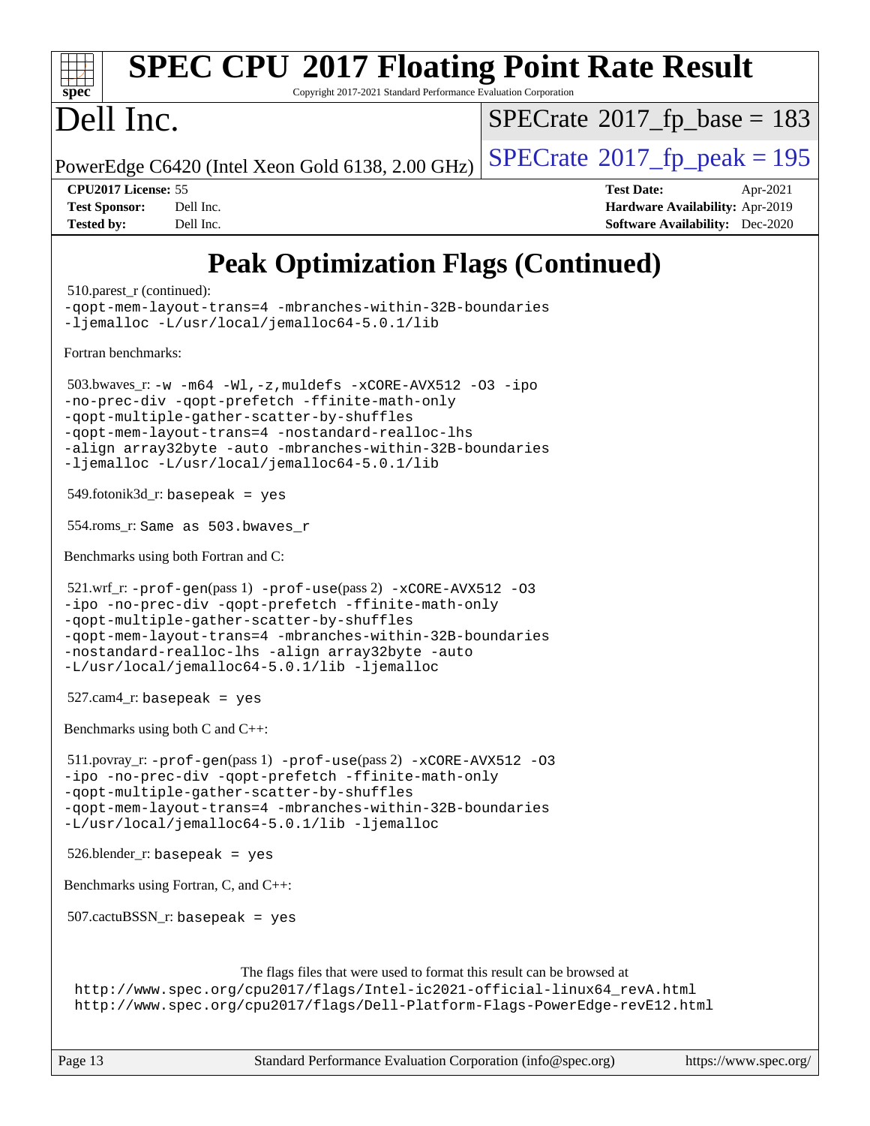#### **[SPEC CPU](http://www.spec.org/auto/cpu2017/Docs/result-fields.html#SPECCPU2017FloatingPointRateResult)[2017 Floating Point Rate Result](http://www.spec.org/auto/cpu2017/Docs/result-fields.html#SPECCPU2017FloatingPointRateResult)**  $\pm$   $\prime$ **[spec](http://www.spec.org/)** Copyright 2017-2021 Standard Performance Evaluation Corporation Dell Inc.  $SPECTate$ <sup>®</sup>[2017\\_fp\\_base =](http://www.spec.org/auto/cpu2017/Docs/result-fields.html#SPECrate2017fpbase) 183 PowerEdge C6420 (Intel Xeon Gold 6138, 2.00 GHz)  $\left|$  [SPECrate](http://www.spec.org/auto/cpu2017/Docs/result-fields.html#SPECrate2017fppeak)<sup>®</sup>[2017\\_fp\\_peak = 1](http://www.spec.org/auto/cpu2017/Docs/result-fields.html#SPECrate2017fppeak)95 **[CPU2017 License:](http://www.spec.org/auto/cpu2017/Docs/result-fields.html#CPU2017License)** 55 **[Test Date:](http://www.spec.org/auto/cpu2017/Docs/result-fields.html#TestDate)** Apr-2021 **[Test Sponsor:](http://www.spec.org/auto/cpu2017/Docs/result-fields.html#TestSponsor)** Dell Inc. **[Hardware Availability:](http://www.spec.org/auto/cpu2017/Docs/result-fields.html#HardwareAvailability)** Apr-2019 **[Tested by:](http://www.spec.org/auto/cpu2017/Docs/result-fields.html#Testedby)** Dell Inc. **[Software Availability:](http://www.spec.org/auto/cpu2017/Docs/result-fields.html#SoftwareAvailability)** Dec-2020 **[Peak Optimization Flags \(Continued\)](http://www.spec.org/auto/cpu2017/Docs/result-fields.html#PeakOptimizationFlags)** 510.parest r (continued): [-qopt-mem-layout-trans=4](http://www.spec.org/cpu2017/results/res2021q4/cpu2017-20211122-30175.flags.html#user_peakCXXOPTIMIZE510_parest_r_f-qopt-mem-layout-trans_fa39e755916c150a61361b7846f310bcdf6f04e385ef281cadf3647acec3f0ae266d1a1d22d972a7087a248fd4e6ca390a3634700869573d231a252c784941a8) [-mbranches-within-32B-boundaries](http://www.spec.org/cpu2017/results/res2021q4/cpu2017-20211122-30175.flags.html#user_peakEXTRA_CXXOPTIMIZE510_parest_r_f-mbranches-within-32B-boundaries) [-ljemalloc](http://www.spec.org/cpu2017/results/res2021q4/cpu2017-20211122-30175.flags.html#user_peakEXTRA_LIBS510_parest_r_jemalloc_link_lib_d1249b907c500fa1c0672f44f562e3d0f79738ae9e3c4a9c376d49f265a04b9c99b167ecedbf6711b3085be911c67ff61f150a17b3472be731631ba4d0471706) [-L/usr/local/jemalloc64-5.0.1/lib](http://www.spec.org/cpu2017/results/res2021q4/cpu2017-20211122-30175.flags.html#user_peakEXTRA_LIBS510_parest_r_jemalloc_link_path64_1_cc289568b1a6c0fd3b62c91b824c27fcb5af5e8098e6ad028160d21144ef1b8aef3170d2acf0bee98a8da324cfe4f67d0a3d0c4cc4673d993d694dc2a0df248b) [Fortran benchmarks](http://www.spec.org/auto/cpu2017/Docs/result-fields.html#Fortranbenchmarks): 503.bwaves\_r: [-w](http://www.spec.org/cpu2017/results/res2021q4/cpu2017-20211122-30175.flags.html#user_peakFCLD503_bwaves_r_supress_warning_66fb2c4e5c1dd10f38bdd29623979399e5ae75ae6e5453792d82ef66afed381df4a8602f92cac8d2ea0fffa7b93b4b1ccb9ecad4af01c9b2fe338b2082ae3859) [-m64](http://www.spec.org/cpu2017/results/res2021q4/cpu2017-20211122-30175.flags.html#user_peakFCLD503_bwaves_r_m64-icc) [-Wl,-z,muldefs](http://www.spec.org/cpu2017/results/res2021q4/cpu2017-20211122-30175.flags.html#user_peakEXTRA_LDFLAGS503_bwaves_r_link_force_multiple1_b4cbdb97b34bdee9ceefcfe54f4c8ea74255f0b02a4b23e853cdb0e18eb4525ac79b5a88067c842dd0ee6996c24547a27a4b99331201badda8798ef8a743f577) [-xCORE-AVX512](http://www.spec.org/cpu2017/results/res2021q4/cpu2017-20211122-30175.flags.html#user_peakFOPTIMIZE503_bwaves_r_f-xCORE-AVX512) [-O3](http://www.spec.org/cpu2017/results/res2021q4/cpu2017-20211122-30175.flags.html#user_peakFOPTIMIZE503_bwaves_r_f-O3) [-ipo](http://www.spec.org/cpu2017/results/res2021q4/cpu2017-20211122-30175.flags.html#user_peakFOPTIMIZE503_bwaves_r_f-ipo) [-no-prec-div](http://www.spec.org/cpu2017/results/res2021q4/cpu2017-20211122-30175.flags.html#user_peakFOPTIMIZE503_bwaves_r_f-no-prec-div) [-qopt-prefetch](http://www.spec.org/cpu2017/results/res2021q4/cpu2017-20211122-30175.flags.html#user_peakFOPTIMIZE503_bwaves_r_f-qopt-prefetch) [-ffinite-math-only](http://www.spec.org/cpu2017/results/res2021q4/cpu2017-20211122-30175.flags.html#user_peakFOPTIMIZE503_bwaves_r_f_finite_math_only_cb91587bd2077682c4b38af759c288ed7c732db004271a9512da14a4f8007909a5f1427ecbf1a0fb78ff2a814402c6114ac565ca162485bbcae155b5e4258871) [-qopt-multiple-gather-scatter-by-shuffles](http://www.spec.org/cpu2017/results/res2021q4/cpu2017-20211122-30175.flags.html#user_peakFOPTIMIZE503_bwaves_r_f-qopt-multiple-gather-scatter-by-shuffles) [-qopt-mem-layout-trans=4](http://www.spec.org/cpu2017/results/res2021q4/cpu2017-20211122-30175.flags.html#user_peakFOPTIMIZE503_bwaves_r_f-qopt-mem-layout-trans_fa39e755916c150a61361b7846f310bcdf6f04e385ef281cadf3647acec3f0ae266d1a1d22d972a7087a248fd4e6ca390a3634700869573d231a252c784941a8) [-nostandard-realloc-lhs](http://www.spec.org/cpu2017/results/res2021q4/cpu2017-20211122-30175.flags.html#user_peakEXTRA_FOPTIMIZE503_bwaves_r_f_2003_std_realloc_82b4557e90729c0f113870c07e44d33d6f5a304b4f63d4c15d2d0f1fab99f5daaed73bdb9275d9ae411527f28b936061aa8b9c8f2d63842963b95c9dd6426b8a) [-align array32byte](http://www.spec.org/cpu2017/results/res2021q4/cpu2017-20211122-30175.flags.html#user_peakEXTRA_FOPTIMIZE503_bwaves_r_align_array32byte_b982fe038af199962ba9a80c053b8342c548c85b40b8e86eb3cc33dee0d7986a4af373ac2d51c3f7cf710a18d62fdce2948f201cd044323541f22fc0fffc51b6) [-auto](http://www.spec.org/cpu2017/results/res2021q4/cpu2017-20211122-30175.flags.html#user_peakEXTRA_FOPTIMIZE503_bwaves_r_f-auto) [-mbranches-within-32B-boundaries](http://www.spec.org/cpu2017/results/res2021q4/cpu2017-20211122-30175.flags.html#user_peakEXTRA_FOPTIMIZE503_bwaves_r_f-mbranches-within-32B-boundaries) [-ljemalloc](http://www.spec.org/cpu2017/results/res2021q4/cpu2017-20211122-30175.flags.html#user_peakEXTRA_LIBS503_bwaves_r_jemalloc_link_lib_d1249b907c500fa1c0672f44f562e3d0f79738ae9e3c4a9c376d49f265a04b9c99b167ecedbf6711b3085be911c67ff61f150a17b3472be731631ba4d0471706) [-L/usr/local/jemalloc64-5.0.1/lib](http://www.spec.org/cpu2017/results/res2021q4/cpu2017-20211122-30175.flags.html#user_peakEXTRA_LIBS503_bwaves_r_jemalloc_link_path64_1_cc289568b1a6c0fd3b62c91b824c27fcb5af5e8098e6ad028160d21144ef1b8aef3170d2acf0bee98a8da324cfe4f67d0a3d0c4cc4673d993d694dc2a0df248b) 549.fotonik3d\_r: basepeak = yes 554.roms\_r: Same as 503.bwaves\_r [Benchmarks using both Fortran and C](http://www.spec.org/auto/cpu2017/Docs/result-fields.html#BenchmarksusingbothFortranandC): 521.wrf\_r: [-prof-gen](http://www.spec.org/cpu2017/results/res2021q4/cpu2017-20211122-30175.flags.html#user_peakPASS1_CFLAGSPASS1_FFLAGSPASS1_LDFLAGS521_wrf_r_prof_gen_5aa4926d6013ddb2a31985c654b3eb18169fc0c6952a63635c234f711e6e63dd76e94ad52365559451ec499a2cdb89e4dc58ba4c67ef54ca681ffbe1461d6b36)(pass 1) [-prof-use](http://www.spec.org/cpu2017/results/res2021q4/cpu2017-20211122-30175.flags.html#user_peakPASS2_CFLAGSPASS2_FFLAGSPASS2_LDFLAGS521_wrf_r_prof_use_1a21ceae95f36a2b53c25747139a6c16ca95bd9def2a207b4f0849963b97e94f5260e30a0c64f4bb623698870e679ca08317ef8150905d41bd88c6f78df73f19)(pass 2) [-xCORE-AVX512](http://www.spec.org/cpu2017/results/res2021q4/cpu2017-20211122-30175.flags.html#user_peakCOPTIMIZE521_wrf_r_f-xCORE-AVX512) [-O3](http://www.spec.org/cpu2017/results/res2021q4/cpu2017-20211122-30175.flags.html#user_peakCOPTIMIZE521_wrf_r_f-O3) [-ipo](http://www.spec.org/cpu2017/results/res2021q4/cpu2017-20211122-30175.flags.html#user_peakCOPTIMIZE521_wrf_r_f-ipo) [-no-prec-div](http://www.spec.org/cpu2017/results/res2021q4/cpu2017-20211122-30175.flags.html#user_peakCOPTIMIZE521_wrf_r_f-no-prec-div) [-qopt-prefetch](http://www.spec.org/cpu2017/results/res2021q4/cpu2017-20211122-30175.flags.html#user_peakCOPTIMIZE521_wrf_r_f-qopt-prefetch) [-ffinite-math-only](http://www.spec.org/cpu2017/results/res2021q4/cpu2017-20211122-30175.flags.html#user_peakCOPTIMIZE521_wrf_r_f_finite_math_only_cb91587bd2077682c4b38af759c288ed7c732db004271a9512da14a4f8007909a5f1427ecbf1a0fb78ff2a814402c6114ac565ca162485bbcae155b5e4258871) [-qopt-multiple-gather-scatter-by-shuffles](http://www.spec.org/cpu2017/results/res2021q4/cpu2017-20211122-30175.flags.html#user_peakCOPTIMIZE521_wrf_r_f-qopt-multiple-gather-scatter-by-shuffles) [-qopt-mem-layout-trans=4](http://www.spec.org/cpu2017/results/res2021q4/cpu2017-20211122-30175.flags.html#user_peakCOPTIMIZE521_wrf_r_f-qopt-mem-layout-trans_fa39e755916c150a61361b7846f310bcdf6f04e385ef281cadf3647acec3f0ae266d1a1d22d972a7087a248fd4e6ca390a3634700869573d231a252c784941a8) [-mbranches-within-32B-boundaries](http://www.spec.org/cpu2017/results/res2021q4/cpu2017-20211122-30175.flags.html#user_peakEXTRA_COPTIMIZEEXTRA_FOPTIMIZE521_wrf_r_f-mbranches-within-32B-boundaries) [-nostandard-realloc-lhs](http://www.spec.org/cpu2017/results/res2021q4/cpu2017-20211122-30175.flags.html#user_peakEXTRA_FOPTIMIZE521_wrf_r_f_2003_std_realloc_82b4557e90729c0f113870c07e44d33d6f5a304b4f63d4c15d2d0f1fab99f5daaed73bdb9275d9ae411527f28b936061aa8b9c8f2d63842963b95c9dd6426b8a) [-align array32byte](http://www.spec.org/cpu2017/results/res2021q4/cpu2017-20211122-30175.flags.html#user_peakEXTRA_FOPTIMIZE521_wrf_r_align_array32byte_b982fe038af199962ba9a80c053b8342c548c85b40b8e86eb3cc33dee0d7986a4af373ac2d51c3f7cf710a18d62fdce2948f201cd044323541f22fc0fffc51b6) [-auto](http://www.spec.org/cpu2017/results/res2021q4/cpu2017-20211122-30175.flags.html#user_peakEXTRA_FOPTIMIZE521_wrf_r_f-auto) [-L/usr/local/jemalloc64-5.0.1/lib](http://www.spec.org/cpu2017/results/res2021q4/cpu2017-20211122-30175.flags.html#user_peakEXTRA_LIBS521_wrf_r_jemalloc_link_path64_1_cc289568b1a6c0fd3b62c91b824c27fcb5af5e8098e6ad028160d21144ef1b8aef3170d2acf0bee98a8da324cfe4f67d0a3d0c4cc4673d993d694dc2a0df248b) [-ljemalloc](http://www.spec.org/cpu2017/results/res2021q4/cpu2017-20211122-30175.flags.html#user_peakEXTRA_LIBS521_wrf_r_jemalloc_link_lib_d1249b907c500fa1c0672f44f562e3d0f79738ae9e3c4a9c376d49f265a04b9c99b167ecedbf6711b3085be911c67ff61f150a17b3472be731631ba4d0471706)  $527$ .cam $4$ \_r: basepeak = yes [Benchmarks using both C and C++](http://www.spec.org/auto/cpu2017/Docs/result-fields.html#BenchmarksusingbothCandCXX): 511.povray\_r: [-prof-gen](http://www.spec.org/cpu2017/results/res2021q4/cpu2017-20211122-30175.flags.html#user_peakPASS1_CFLAGSPASS1_CXXFLAGSPASS1_LDFLAGS511_povray_r_prof_gen_5aa4926d6013ddb2a31985c654b3eb18169fc0c6952a63635c234f711e6e63dd76e94ad52365559451ec499a2cdb89e4dc58ba4c67ef54ca681ffbe1461d6b36)(pass 1) [-prof-use](http://www.spec.org/cpu2017/results/res2021q4/cpu2017-20211122-30175.flags.html#user_peakPASS2_CFLAGSPASS2_CXXFLAGSPASS2_LDFLAGS511_povray_r_prof_use_1a21ceae95f36a2b53c25747139a6c16ca95bd9def2a207b4f0849963b97e94f5260e30a0c64f4bb623698870e679ca08317ef8150905d41bd88c6f78df73f19)(pass 2) [-xCORE-AVX512](http://www.spec.org/cpu2017/results/res2021q4/cpu2017-20211122-30175.flags.html#user_peakCOPTIMIZECXXOPTIMIZE511_povray_r_f-xCORE-AVX512) [-O3](http://www.spec.org/cpu2017/results/res2021q4/cpu2017-20211122-30175.flags.html#user_peakCOPTIMIZECXXOPTIMIZE511_povray_r_f-O3) [-ipo](http://www.spec.org/cpu2017/results/res2021q4/cpu2017-20211122-30175.flags.html#user_peakCOPTIMIZECXXOPTIMIZE511_povray_r_f-ipo) [-no-prec-div](http://www.spec.org/cpu2017/results/res2021q4/cpu2017-20211122-30175.flags.html#user_peakCOPTIMIZECXXOPTIMIZE511_povray_r_f-no-prec-div) [-qopt-prefetch](http://www.spec.org/cpu2017/results/res2021q4/cpu2017-20211122-30175.flags.html#user_peakCOPTIMIZECXXOPTIMIZE511_povray_r_f-qopt-prefetch) [-ffinite-math-only](http://www.spec.org/cpu2017/results/res2021q4/cpu2017-20211122-30175.flags.html#user_peakCOPTIMIZECXXOPTIMIZE511_povray_r_f_finite_math_only_cb91587bd2077682c4b38af759c288ed7c732db004271a9512da14a4f8007909a5f1427ecbf1a0fb78ff2a814402c6114ac565ca162485bbcae155b5e4258871) [-qopt-multiple-gather-scatter-by-shuffles](http://www.spec.org/cpu2017/results/res2021q4/cpu2017-20211122-30175.flags.html#user_peakCOPTIMIZECXXOPTIMIZE511_povray_r_f-qopt-multiple-gather-scatter-by-shuffles) [-qopt-mem-layout-trans=4](http://www.spec.org/cpu2017/results/res2021q4/cpu2017-20211122-30175.flags.html#user_peakCOPTIMIZECXXOPTIMIZE511_povray_r_f-qopt-mem-layout-trans_fa39e755916c150a61361b7846f310bcdf6f04e385ef281cadf3647acec3f0ae266d1a1d22d972a7087a248fd4e6ca390a3634700869573d231a252c784941a8) [-mbranches-within-32B-boundaries](http://www.spec.org/cpu2017/results/res2021q4/cpu2017-20211122-30175.flags.html#user_peakEXTRA_COPTIMIZEEXTRA_CXXOPTIMIZE511_povray_r_f-mbranches-within-32B-boundaries) [-L/usr/local/jemalloc64-5.0.1/lib](http://www.spec.org/cpu2017/results/res2021q4/cpu2017-20211122-30175.flags.html#user_peakEXTRA_LIBS511_povray_r_jemalloc_link_path64_1_cc289568b1a6c0fd3b62c91b824c27fcb5af5e8098e6ad028160d21144ef1b8aef3170d2acf0bee98a8da324cfe4f67d0a3d0c4cc4673d993d694dc2a0df248b) [-ljemalloc](http://www.spec.org/cpu2017/results/res2021q4/cpu2017-20211122-30175.flags.html#user_peakEXTRA_LIBS511_povray_r_jemalloc_link_lib_d1249b907c500fa1c0672f44f562e3d0f79738ae9e3c4a9c376d49f265a04b9c99b167ecedbf6711b3085be911c67ff61f150a17b3472be731631ba4d0471706) 526.blender\_r: basepeak = yes [Benchmarks using Fortran, C, and C++:](http://www.spec.org/auto/cpu2017/Docs/result-fields.html#BenchmarksusingFortranCandCXX) 507.cactuBSSN\_r: basepeak = yes [The flags files that were used to format this result can be browsed at](tmsearch) [http://www.spec.org/cpu2017/flags/Intel-ic2021-official-linux64\\_revA.html](http://www.spec.org/cpu2017/flags/Intel-ic2021-official-linux64_revA.html) <http://www.spec.org/cpu2017/flags/Dell-Platform-Flags-PowerEdge-revE12.html>